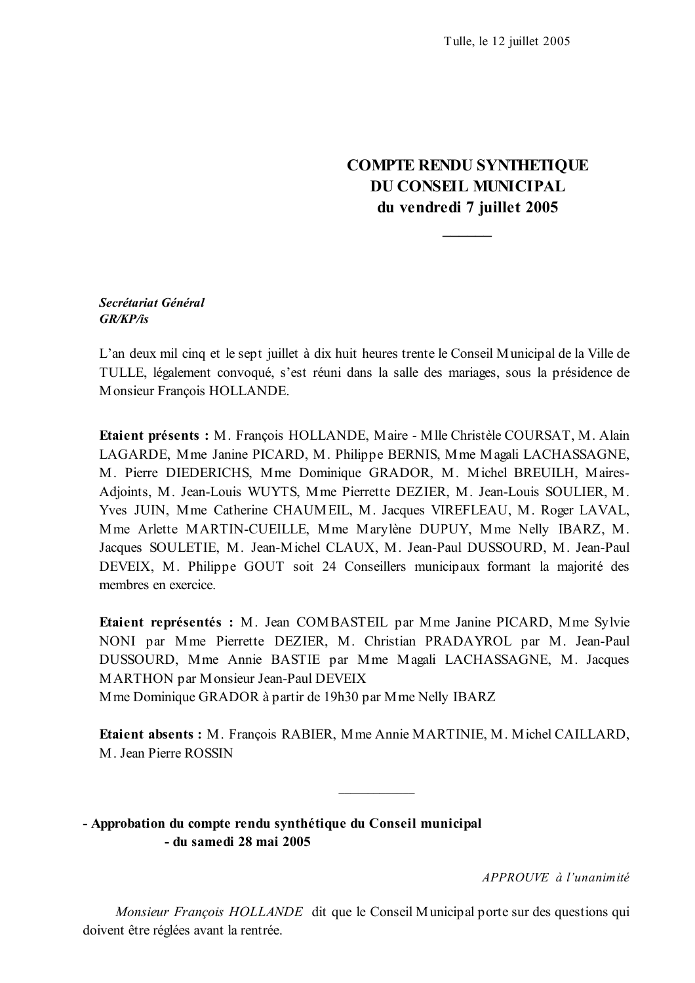# **COMPTE RENDU SYNTHETIQUE DU CONSEIL MUNICIPAL** du vendredi 7 juillet 2005

### Secrétariat Général  $GR/KP/s$

L'an deux mil cinq et le sept juillet à dix huit heures trente le Conseil Municipal de la Ville de TULLE, légalement convoqué, s'est réuni dans la salle des mariages, sous la présidence de Monsieur Francois HOLLANDE.

Etaient présents : M. Francois HOLLANDE, Maire - Mlle Christèle COURSAT, M. Alain LAGARDE, Mme Janine PICARD, M. Philippe BERNIS, Mme Magali LACHASSAGNE, M. Pierre DIEDERICHS, Mme Dominique GRADOR, M. Michel BREUILH, Maires-Adjoints, M. Jean-Louis WUYTS, Mme Pierrette DEZIER, M. Jean-Louis SOULIER, M. Yves JUIN, Mme Catherine CHAUMEIL, M. Jacques VIREFLEAU, M. Roger LAVAL, Mme Arlette MARTIN-CUEILLE, Mme Marylène DUPUY, Mme Nelly IBARZ, M. Jacques SOULETIE, M. Jean-Michel CLAUX, M. Jean-Paul DUSSOURD, M. Jean-Paul DEVEIX, M. Philippe GOUT soit 24 Conseillers municipaux formant la majorité des membres en exercice.

Etaient représentés : M. Jean COMBASTEIL par Mme Janine PICARD, Mme Sylvie NONI par Mme Pierrette DEZIER, M. Christian PRADAYROL par M. Jean-Paul DUSSOURD, Mme Annie BASTIE par Mme Magali LACHASSAGNE, M. Jacques **MARTHON** par Monsieur Jean-Paul DEVEIX

M me Dominique GRADOR à partir de 19h30 par M me Nelly IBARZ

Etaient absents: M. Francois RABIER. Mme Annie MARTINIE. M. Michel CAILLARD. M. Jean Pierre ROSSIN

- Approbation du compte rendu synthétique du Conseil municipal - du samedi 28 mai 2005

APPROUVE à l'unanimité

Monsieur François HOLLANDE dit que le Conseil Municipal porte sur des questions qui doivent être réglées avant la rentrée.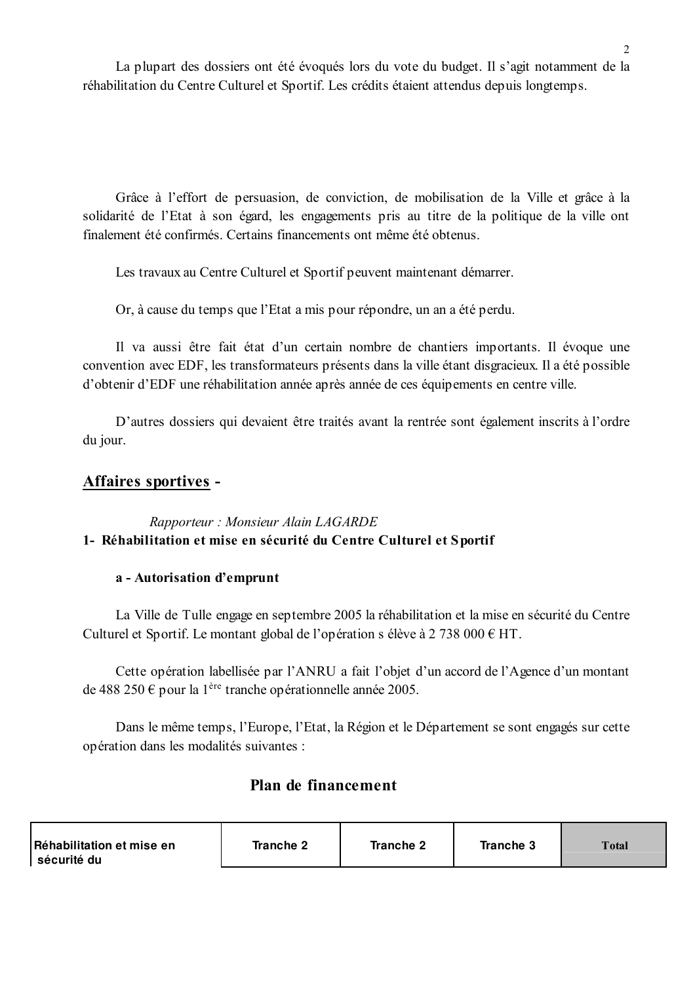La plupart des dossiers ont été évoqués lors du vote du budget. Il s'agit notamment de la réhabilitation du Centre Culturel et Sportif. Les crédits étaient attendus depuis longtemps.

Grâce à l'effort de persuasion, de conviction, de mobilisation de la Ville et grâce à la solidarité de l'Etat à son égard, les engagements pris au titre de la politique de la ville ont finalement été confirmés. Certains financements ont même été obtenus.

Les travaux au Centre Culturel et Sportif peuvent maintenant démarrer.

Or, à cause du temps que l'Etat a mis pour répondre, un an a été perdu.

Il va aussi être fait état d'un certain nombre de chantiers importants. Il évoque une convention avec EDF, les transformateurs présents dans la ville étant disgracieux. Il a été possible d'obtenir d'EDF une réhabilitation année après année de ces équipements en centre ville.

D'autres dossiers qui devaient être traités avant la rentrée sont également inscrits à l'ordre du jour.

# Affaires sportives -

# Rapporteur: Monsieur Alain LAGARDE 1- Réhabilitation et mise en sécurité du Centre Culturel et Sportif

## a - Autorisation d'emprunt

La Ville de Tulle engage en septembre 2005 la réhabilitation et la mise en sécurité du Centre Culturel et Sportif. Le montant global de l'opération s élève à 2 738 000  $\epsilon$  HT.

Cette opération labellisée par l'ANRU a fait l'objet d'un accord de l'Agence d'un montant de 488 250  $\epsilon$  pour la 1<sup>ère</sup> tranche opérationnelle année 2005.

Dans le même temps, l'Europe, l'Etat, la Région et le Département se sont engagés sur cette opération dans les modalités suivantes :

# Plan de financement

| Réhabilitation et mise en | Tranche 2 | Tranche 2 | Tranche 3 | Total |
|---------------------------|-----------|-----------|-----------|-------|
| sécurité du               |           |           |           |       |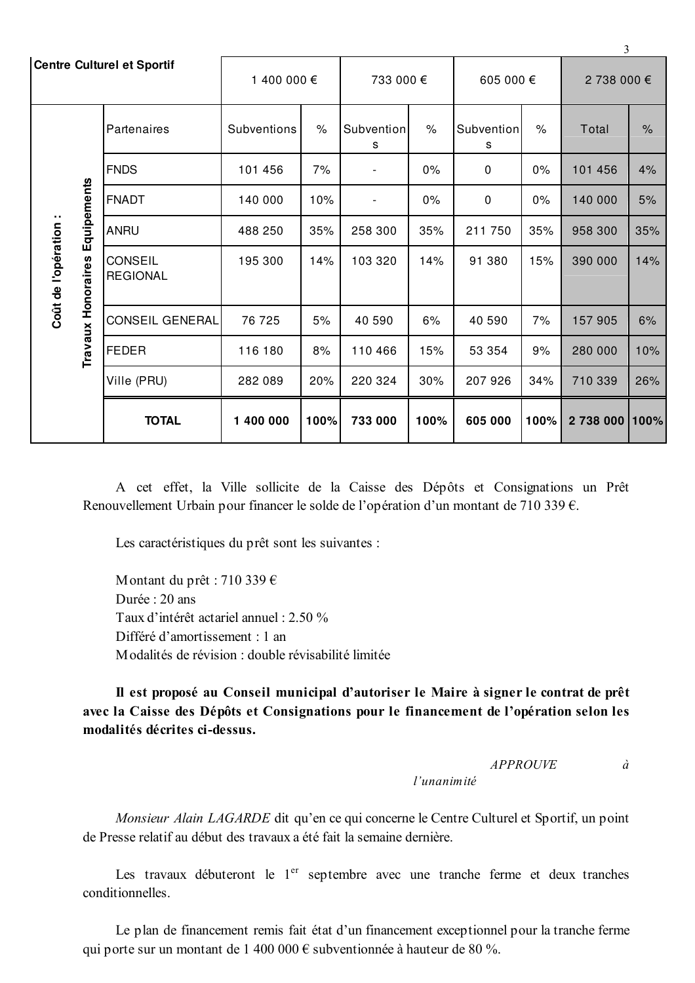|                                             |                                   | <b>Centre Culturel et Sportif</b> | 1 400 000 € |               | 733 000 €                |        | 605 000 €       |         | $\mathcal{L}$<br>2 738 000 € |               |
|---------------------------------------------|-----------------------------------|-----------------------------------|-------------|---------------|--------------------------|--------|-----------------|---------|------------------------------|---------------|
|                                             |                                   | Partenaires                       | Subventions | $\frac{1}{2}$ | Subvention<br>s          | $\%$   | Subvention<br>s | $\%$    | Total                        | $\frac{9}{6}$ |
|                                             |                                   | <b>FNDS</b>                       | 101 456     | 7%            | $\overline{a}$           | 0%     | $\pmb{0}$       | $0\%$   | 101 456                      | 4%            |
|                                             | Equipements                       | <b>FNADT</b>                      | 140 000     | 10%           | $\overline{\phantom{a}}$ | 0%     | $\pmb{0}$       | 0%      | 140 000                      | 5%            |
|                                             |                                   | ANRU                              | 488 250     | 35%           | 258 300                  | 35%    | 211 750         | 35%     | 958 300                      | 35%           |
| Coût de l'opération :<br>Travaux Honoraires | <b>CONSEIL</b><br><b>REGIONAL</b> | 195 300                           | 14%         | 103 320       | 14%                      | 91 380 | 15%             | 390 000 | 14%                          |               |
|                                             |                                   | <b>CONSEIL GENERAL</b>            | 76 725      | 5%            | 40 590                   | 6%     | 40 590          | 7%      | 157 905                      | 6%            |
|                                             |                                   | <b>FEDER</b>                      | 116 180     | 8%            | 110 466                  | 15%    | 53 354          | 9%      | 280 000                      | 10%           |
|                                             |                                   | Ville (PRU)                       | 282 089     | 20%           | 220 324                  | 30%    | 207 926         | 34%     | 710 339                      | 26%           |
|                                             |                                   | <b>TOTAL</b>                      | 1 400 000   | 100%          | 733 000                  | 100%   | 605 000         | 100%    | 2738000                      | 1100%         |

A cet effet, la Ville sollicite de la Caisse des Dépôts et Consignations un Prêt Renouvellement Urbain pour financer le solde de l'opération d'un montant de 710 339 €.

Les caractéristiques du prêt sont les suivantes :

Montant du prêt : 710 339  $\epsilon$ Durée : 20 ans Taux d'intérêt actariel annuel : 2.50 % Différé d'amortissement : 1 an Modalités de révision : double révisabilité limitée

Il est proposé au Conseil municipal d'autoriser le Maire à signer le contrat de prêt avec la Caisse des Dépôts et Consignations pour le financement de l'opération selon les modalités décrites ci-dessus.

#### *APPROUVE*  $\dot{a}$

l'unanimité

Monsieur Alain LAGARDE dit qu'en ce qui concerne le Centre Culturel et Sportif, un point de Presse relatif au début des travaux a été fait la semaine dernière.

Les travaux débuteront le 1<sup>er</sup> septembre avec une tranche ferme et deux tranches conditionnelles.

Le plan de financement remis fait état d'un financement exceptionnel pour la tranche ferme qui porte sur un montant de 1 400 000 € subventionnée à hauteur de 80 %.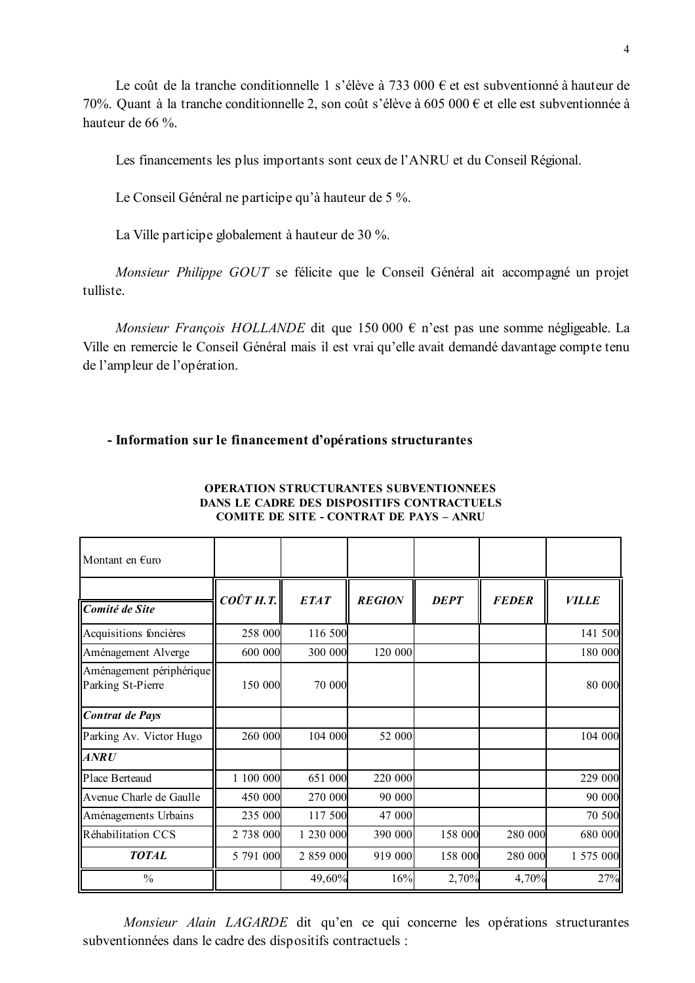Le coût de la tranche conditionnelle 1 s'élève à 733 000  $\epsilon$  et est subventionné à hauteur de 70%. Quant à la tranche conditionnelle 2, son coût s'élève à 605 000 € et elle est subventionnée à hauteur de 66 %.

Les financements les plus importants sont ceux de l'ANRU et du Conseil Régional.

Le Conseil Général ne participe qu'à hauteur de 5 %.

La Ville participe globalement à hauteur de 30 %.

Monsieur Philippe GOUT se félicite que le Conseil Général ait accompagné un projet tulliste.

Monsieur François HOLLANDE dit que 150 000  $\epsilon$  n'est pas une somme négligeable. La Ville en remercie le Conseil Général mais il est vrai qu'elle avait demandé davantage compte tenu de l'ampleur de l'opération.

### - Information sur le financement d'opérations structurantes

| Montant en $f$ uro                            |                   |             |               |             |              |              |
|-----------------------------------------------|-------------------|-------------|---------------|-------------|--------------|--------------|
| Comité de Site                                | $CO\hat{U}T$ H.T. | <b>ETAT</b> | <b>REGION</b> | <b>DEPT</b> | <b>FEDER</b> | <b>VILLE</b> |
| Acquisitions foncières                        | 258 000           | 116 500     |               |             |              | 141 500      |
| Aménagement Alverge                           | 600 000           | 300 000     | 120 000       |             |              | 180 000      |
| Aménagement périphérique<br>Parking St-Pierre | 150 000           | 70 000      |               |             |              | 80 000       |
| Contrat de Pays                               |                   |             |               |             |              |              |
| Parking Av. Victor Hugo                       | 260 000           | 104 000     | 52 000        |             |              | 104 000      |
| $\overline{ANRU}$                             |                   |             |               |             |              |              |
| Place Berteaud                                | 1 100 000         | 651 000     | 220 000       |             |              | 229 000      |
| Avenue Charle de Gaulle                       | 450 000           | 270 000     | 90 000        |             |              | 90 000       |
| Aménagements Urbains                          | 235 000           | 117 500     | 47 000        |             |              | 70 500       |
| Réhabilitation CCS                            | 2 738 000         | 1 230 000   | 390 000       | 158 000     | 280 000      | 680 000      |
| <b>TOTAL</b>                                  | 5 791 000         | 2 859 000   | 919 000       | 158 000     | 280 000      | 1 575 000    |
| $\frac{0}{0}$                                 |                   | 49,60%      | 16%           | 2,70%       | 4,70%        | 27%          |

#### **OPERATION STRUCTURANTES SUBVENTIONNEES** DANS LE CADRE DES DISPOSITIFS CONTRACTUELS **COMITE DE SITE - CONTRAT DE PAYS - ANRU**

Monsieur Alain LAGARDE dit qu'en ce qui concerne les opérations structurantes subventionnées dans le cadre des dispositifs contractuels :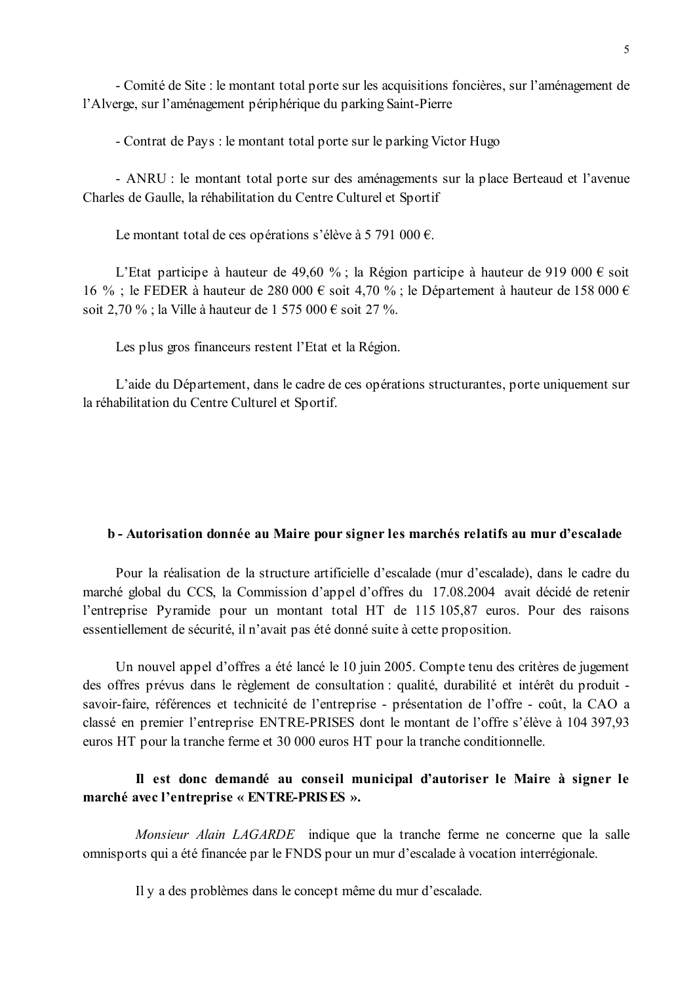- Comité de Site : le montant total porte sur les acquisitions foncières, sur l'aménagement de l'Alverge, sur l'aménagement périphérique du parking Saint-Pierre

- Contrat de Pays : le montant total porte sur le parking Victor Hugo

- ANRU : le montant total porte sur des aménagements sur la place Berteaud et l'avenue Charles de Gaulle, la réhabilitation du Centre Culturel et Sportif

Le montant total de ces opérations s'élève à 5 791 000 €.

L'Etat participe à hauteur de 49,60 %; la Région participe à hauteur de 919 000 € soit 16 %; le FEDER à hauteur de 280 000 € soit 4,70 %; le Département à hauteur de 158 000 € soit 2,70 %; la Ville à hauteur de 1 575 000 € soit 27 %.

Les plus gros financeurs restent l'Etat et la Région.

L'aide du Département, dans le cadre de ces opérations structurantes, porte uniquement sur la réhabilitation du Centre Culturel et Sportif.

### b - Autorisation donnée au Maire pour signer les marchés relatifs au mur d'escalade

Pour la réalisation de la structure artificielle d'escalade (mur d'escalade), dans le cadre du marché global du CCS, la Commission d'appel d'offres du 17.08.2004 avait décidé de retenir l'entreprise Pyramide pour un montant total HT de 115 105,87 euros. Pour des raisons essentiellement de sécurité, il n'avait pas été donné suite à cette proposition.

Un nouvel appel d'offres a été lancé le 10 juin 2005. Compte tenu des critères de jugement des offres prévus dans le règlement de consultation : qualité, durabilité et intérêt du produit savoir-faire, références et technicité de l'entreprise - présentation de l'offre - coût, la CAO a classé en premier l'entreprise ENTRE-PRISES dont le montant de l'offre s'élève à 104 397.93 euros HT pour la tranche ferme et 30 000 euros HT pour la tranche conditionnelle.

## Il est donc demandé au conseil municipal d'autoriser le Maire à signer le marché avec l'entreprise « ENTRE-PRISES ».

Monsieur Alain LAGARDE indique que la tranche ferme ne concerne que la salle omnisports qui a été financée par le FNDS pour un mur d'escalade à vocation interrégionale.

Il y a des problèmes dans le concept même du mur d'escalade.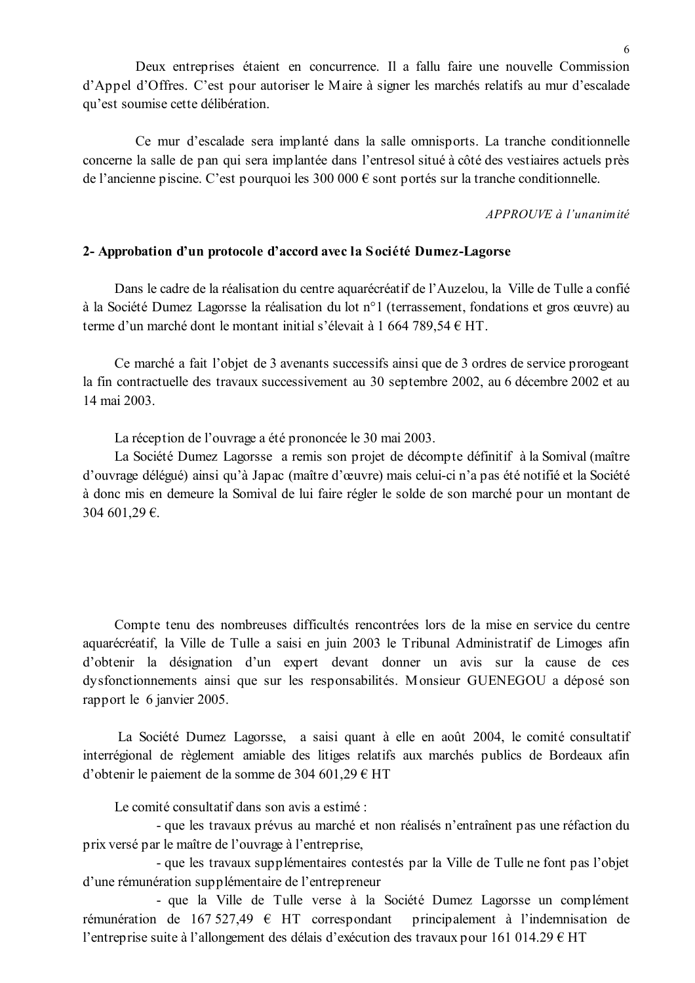Deux entreprises étaient en concurrence. Il a fallu faire une nouvelle Commission d'Appel d'Offres. C'est pour autoriser le Maire à signer les marchés relatifs au mur d'escalade qu'est soumise cette délibération.

Ce mur d'escalade sera implanté dans la salle omnisports. La tranche conditionnelle concerne la salle de pan qui sera implantée dans l'entresol situé à côté des vestiaires actuels près de l'ancienne piscine. C'est pourquoi les 300 000  $\epsilon$  sont portés sur la tranche conditionnelle.

 $APPROIIVE \d0$  l'unanimité

### 2- Approbation d'un protocole d'accord avec la Société Dumez-Lagorse

Dans le cadre de la réalisation du centre aquarécréatif de l'Auzelou, la Ville de Tulle a confié à la Société Dumez Lagorsse la réalisation du lot n°1 (terrassement, fondations et gros œuvre) au terme d'un marché dont le montant initial s'élevait à 1 664 789,54 € HT.

Ce marché a fait l'objet de 3 avenants successifs ainsi que de 3 ordres de service prorogeant la fin contractuelle des travaux successivement au 30 septembre 2002, au 6 décembre 2002 et au 14 mai 2003.

La réception de l'ouvrage a été prononcée le 30 mai 2003.

La Société Dumez Lagorsse a remis son projet de décompte définitif à la Somival (maître d'ouvrage délégué) ainsi qu'à Japac (maître d'œuvre) mais celui-ci n'a pas été notifié et la Société à donc mis en demeure la Somival de lui faire régler le solde de son marché pour un montant de 304 601,29 €.

Compte tenu des nombreuses difficultés rencontrées lors de la mise en service du centre aquarécréatif, la Ville de Tulle a saisi en juin 2003 le Tribunal Administratif de Limoges afin d'obtenir la désignation d'un expert devant donner un avis sur la cause de ces dysfonctionnements ainsi que sur les responsabilités. Monsieur GUENEGOU a déposé son rapport le 6 janvier 2005.

La Société Dumez Lagorsse, a saisi quant à elle en août 2004, le comité consultatif interrégional de règlement amiable des litiges relatifs aux marchés publics de Bordeaux afin d'obtenir le paiement de la somme de 304 601,29 € HT

Le comité consultatif dans son avis a estimé :

- que les travaux prévus au marché et non réalisés n'entraînent pas une réfaction du prix versé par le maître de l'ouvrage à l'entreprise,

- que les travaux supplémentaires contestés par la Ville de Tulle ne font pas l'objet d'une rémunération supplémentaire de l'entrepreneur

- que la Ville de Tulle verse à la Société Dumez Lagorsse un complément rémunération de 167 527,49  $\epsilon$  HT correspondant principalement à l'indemnisation de l'entreprise suite à l'allongement des délais d'exécution des travaux pour 161 014.29  $\epsilon$  HT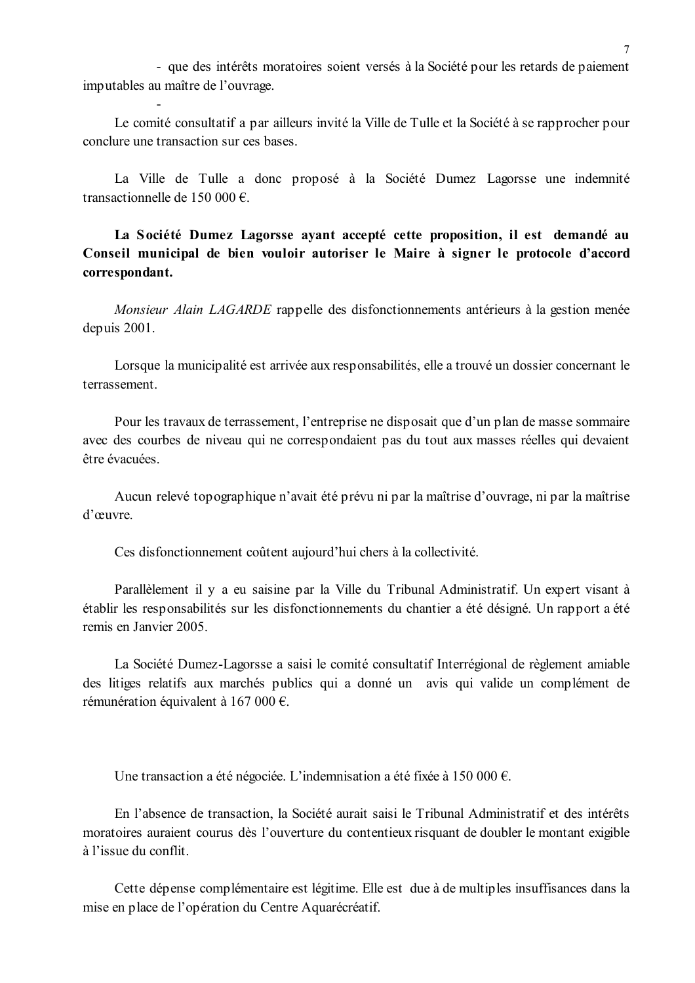- que des intérêts moratoires soient versés à la Société pour les retards de paiement imputables au maître de l'ouvrage.

Le comité consultatif a par ailleurs invité la Ville de Tulle et la Société à se rapprocher pour conclure une transaction sur ces bases.

La Ville de Tulle a donc proposé à la Société Dumez Lagorsse une indemnité transactionnelle de 150 000 €.

La Société Dumez Lagorsse avant accepté cette proposition, il est demandé au Conseil municipal de bien vouloir autoriser le Maire à signer le protocole d'accord correspondant.

Monsieur Alain LAGARDE rappelle des disfonctionnements antérieurs à la gestion menée depuis 2001.

Lorsque la municipalité est arrivée aux responsabilités, elle a trouvé un dossier concernant le terrassement

Pour les travaux de terrassement, l'entreprise ne disposait que d'un plan de masse sommaire avec des courbes de niveau qui ne correspondaient pas du tout aux masses réelles qui devaient être évacuées

Aucun relevé topographique n'avait été prévu ni par la maîtrise d'ouvrage, ni par la maîtrise d'œuvre.

Ces disfonctionnement coûtent aujourd'hui chers à la collectivité.

Parallèlement il y a eu saisine par la Ville du Tribunal Administratif. Un expert visant à établir les responsabilités sur les disfonctionnements du chantier a été désigné. Un rapport a été remis en Janvier 2005.

La Société Dumez-Lagorsse a saisi le comité consultatif Interrégional de règlement amiable des litiges relatifs aux marchés publics qui a donné un avis qui valide un complément de rémunération équivalent à 167 000 €.

Une transaction a été négociée. L'indemnisation a été fixée à 150 000 €.

En l'absence de transaction, la Société aurait saisi le Tribunal Administratif et des intérêts moratoires auraient courus dès l'ouverture du contentieux risquant de doubler le montant exigible à l'issue du conflit

Cette dépense complémentaire est légitime. Elle est due à de multiples insuffisances dans la mise en place de l'opération du Centre Aquarécréatif.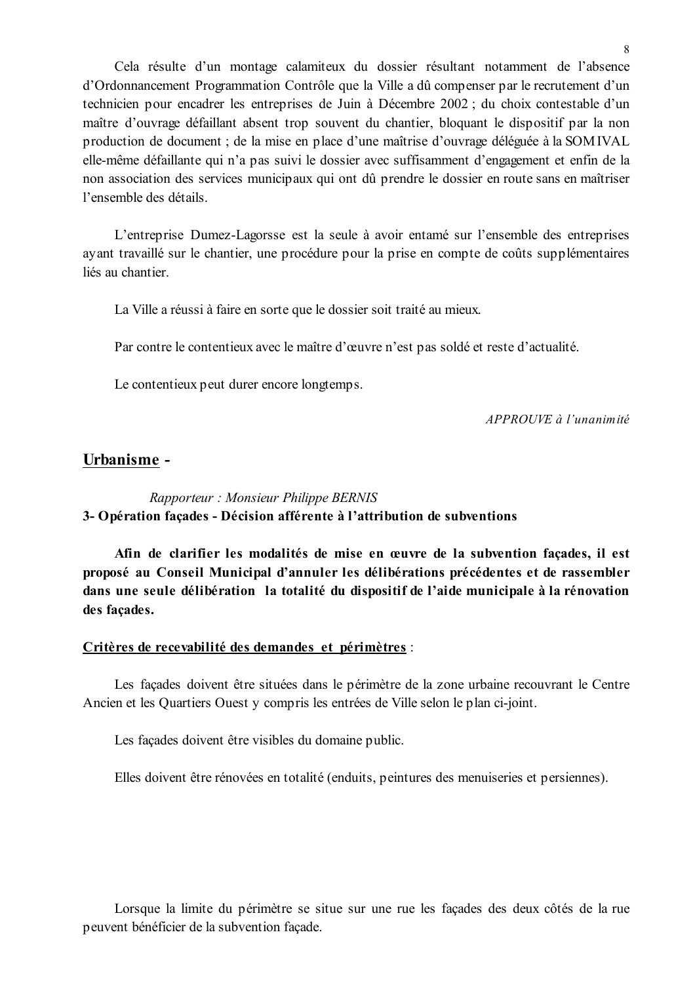Cela résulte d'un montage calamiteux du dossier résultant notamment de l'absence d'Ordonnancement Programmation Contrôle que la Ville a dû compenser par le recrutement d'un technicien pour encadrer les entreprises de Juin à Décembre 2002; du choix contestable d'un maître d'ouvrage défaillant absent trop souvent du chantier, bloquant le dispositif par la non production de document ; de la mise en place d'une maîtrise d'ouvrage déléguée à la SOMIVAL elle-même défaillante qui n'a pas suivi le dossier avec suffisamment d'engagement et enfin de la non association des services municipaux qui ont dû prendre le dossier en route sans en maîtriser l'ensemble des détails

L'entreprise Dumez-Lagorsse est la seule à avoir entamé sur l'ensemble des entreprises avant travaillé sur le chantier, une procédure pour la prise en compte de coûts supplémentaires liés au chantier.

La Ville a réussi à faire en sorte que le dossier soit traité au mieux.

Par contre le contentieux avec le maître d'œuvre n'est pas soldé et reste d'actualité.

Le contentieux peut durer encore longtemps.

APPROUVE à l'unanimité

# Urbanisme -

Rapporteur: Monsieur Philippe BERNIS 3- Opération façades - Décision afférente à l'attribution de subventions

Afin de clarifier les modalités de mise en œuvre de la subvention façades, il est proposé au Conseil Municipal d'annuler les délibérations précédentes et de rassembler dans une seule délibération la totalité du dispositif de l'aide municipale à la rénovation des façades.

### Critères de recevabilité des demandes et périmètres :

Les façades doivent être situées dans le périmètre de la zone urbaine recouvrant le Centre Ancien et les Quartiers Ouest y compris les entrées de Ville selon le plan ci-joint.

Les façades doivent être visibles du domaine public.

Elles doivent être rénovées en totalité (enduits, peintures des menuiseries et persiennes).

Lorsque la limite du périmètre se situe sur une rue les façades des deux côtés de la rue peuvent bénéficier de la subvention facade.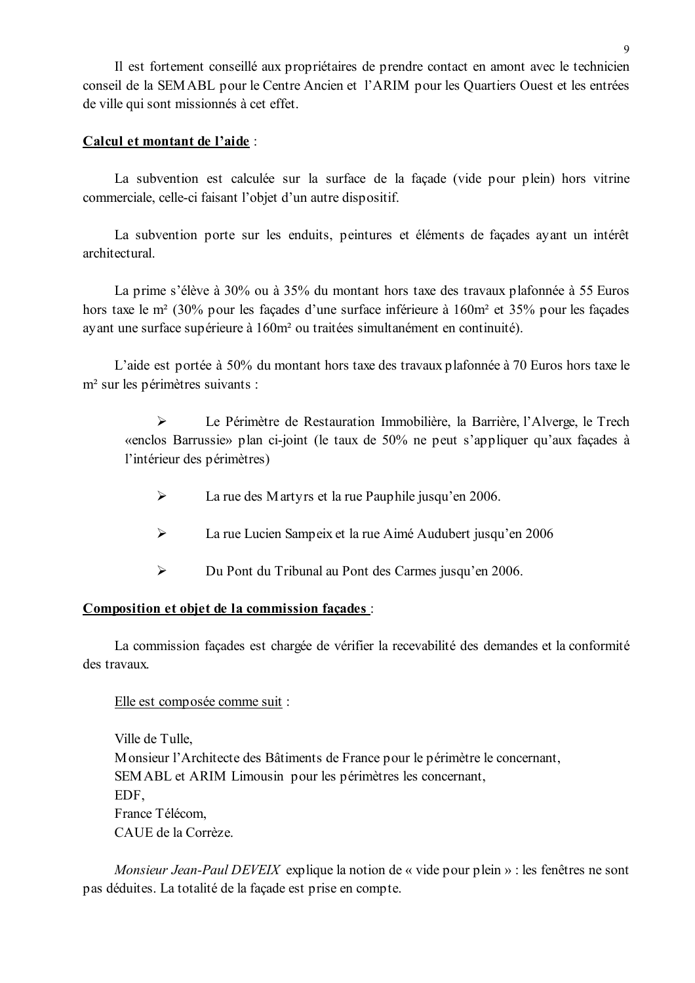Il est fortement conseillé aux propriétaires de prendre contact en amont avec le technicien conseil de la SEMABL pour le Centre Ancien et l'ARIM pour les Quartiers Ouest et les entrées de ville qui sont missionnés à cet effet.

### Calcul et montant de l'aide :

La subvention est calculée sur la surface de la façade (vide pour plein) hors vitrine commerciale, celle-ci faisant l'objet d'un autre dispositif.

La subvention porte sur les enduits, peintures et éléments de façades ayant un intérêt architectural

La prime s'élève à 30% ou à 35% du montant hors taxe des travaux plafonnée à 55 Euros hors taxe le m<sup>2</sup> (30% pour les façades d'une surface inférieure à 160m<sup>2</sup> et 35% pour les façades avant une surface supérieure à 160m<sup>2</sup> ou traitées simultanément en continuité).

L'aide est portée à 50% du montant hors taxe des travaux plafonnée à 70 Euros hors taxe le m<sup>2</sup> sur les périmètres suivants :

 $\blacktriangleright$ Le Périmètre de Restauration Immobilière, la Barrière, l'Alverge, le Trech «enclos Barrussie» plan ci-joint (le taux de 50% ne peut s'appliquer qu'aux façades à l'intérieur des périmètres)

- $\blacktriangleright$ La rue des Martyrs et la rue Pauphile jusqu'en 2006.
- $\blacktriangleright$ La rue Lucien Sampeix et la rue Aimé Audubert jusqu'en 2006
- $\blacktriangleright$ Du Pont du Tribunal au Pont des Carmes jusqu'en 2006.

### Composition et objet de la commission façades :

La commission facades est chargée de vérifier la recevabilité des demandes et la conformité des travaux

#### Elle est composée comme suit :

Ville de Tulle. Monsieur l'Architecte des Bâtiments de France pour le périmètre le concernant, SEMABL et ARIM Limousin pour les périmètres les concernant. EDF. France Télécom. CAUE de la Corrèze

Monsieur Jean-Paul DEVEIX explique la notion de « vide pour plein » : les fenêtres ne sont pas déduites. La totalité de la facade est prise en compte.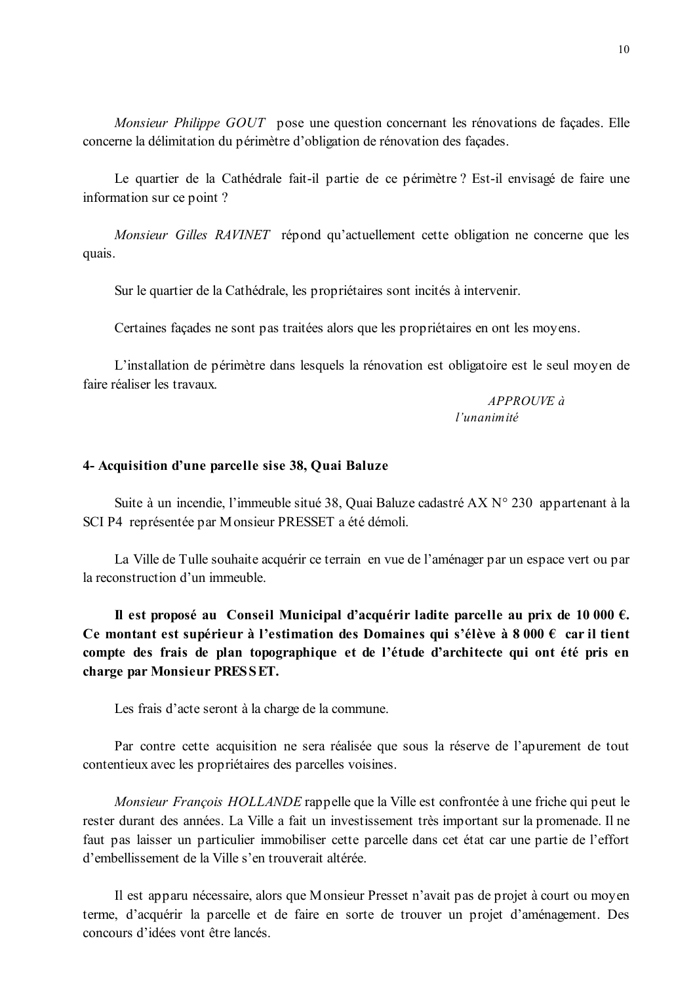Monsieur Philippe GOUT pose une question concernant les rénovations de façades. Elle concerne la délimitation du périmètre d'obligation de rénovation des façades.

Le quartier de la Cathédrale fait-il partie de ce périmètre ? Est-il envisagé de faire une information sur ce point?

Monsieur Gilles RAVINET répond qu'actuellement cette obligation ne concerne que les quais.

Sur le quartier de la Cathédrale, les propriétaires sont incités à intervenir.

Certaines façades ne sont pas traitées alors que les propriétaires en ont les moyens.

L'installation de périmètre dans lesquels la rénovation est obligatoire est le seul moyen de faire réaliser les travaux

> APPROUVE à l'unanimité

### 4- Acquisition d'une parcelle sise 38, Quai Baluze

Suite à un incendie, l'immeuble situé 38, Quai Baluze cadastré AX N° 230 appartenant à la SCI P4 représentée par Monsieur PRESSET a été démoli.

La Ville de Tulle souhaite acquérir ce terrain en vue de l'aménager par un espace vert ou par la reconstruction d'un immeuble.

Il est proposé au Conseil Municipal d'acquérir ladite parcelle au prix de 10 000  $\epsilon$ . Ce montant est supérieur à l'estimation des Domaines qui s'élève à 8 000  $\epsilon$  car il tient compte des frais de plan topographique et de l'étude d'architecte qui ont été pris en charge par Monsieur PRESSET.

Les frais d'acte seront à la charge de la commune.

Par contre cette acquisition ne sera réalisée que sous la réserve de l'apurement de tout contentieux avec les propriétaires des parcelles voisines.

*Monsieur François HOLLANDE* rappelle que la Ville est confrontée à une friche qui peut le rester durant des années. La Ville a fait un investissement très important sur la promenade. Il ne faut pas laisser un particulier immobiliser cette parcelle dans cet état car une partie de l'effort d'embellissement de la Ville s'en trouverait altérée.

Il est apparu nécessaire, alors que Monsieur Presset n'avait pas de projet à court ou moyen terme, d'acquérir la parcelle et de faire en sorte de trouver un projet d'aménagement. Des concours d'idées vont être lancés.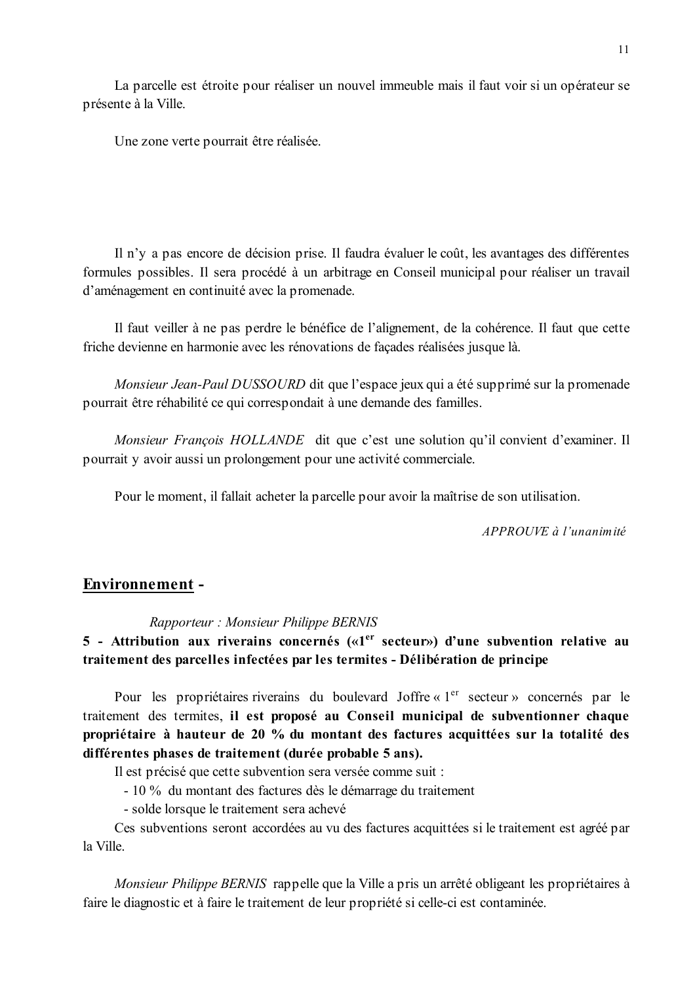La parcelle est étroite pour réaliser un nouvel immeuble mais il faut voir si un opérateur se présente à la Ville.

Une zone verte pourrait être réalisée.

Il n'v a pas encore de décision prise. Il faudra évaluer le coût, les avantages des différentes formules possibles. Il sera procédé à un arbitrage en Conseil municipal pour réaliser un travail d'aménagement en continuité avec la promenade.

Il faut veiller à ne pas perdre le bénéfice de l'alignement, de la cohérence. Il faut que cette friche devienne en harmonie avec les rénovations de facades réalisées jusque là.

Monsieur Jean-Paul DUSSOURD dit que l'espace jeux qui a été supprimé sur la promenade pourrait être réhabilité ce qui correspondait à une demande des familles.

Monsieur François HOLLANDE dit que c'est une solution qu'il convient d'examiner. Il pourrait y avoir aussi un prolongement pour une activité commerciale.

Pour le moment, il fallait acheter la parcelle pour avoir la maîtrise de son utilisation.

APPROUVE à l'unanimité

### **Environnement -**

### Rapporteur: Monsieur Philippe BERNIS

5 - Attribution aux riverains concernés («1<sup>er</sup> secteur») d'une subvention relative au traitement des parcelles infectées par les termites - Délibération de principe

Pour les propriétaires riverains du boulevard Joffre « 1<sup>er</sup> secteur » concernés par le traitement des termites, il est proposé au Conseil municipal de subventionner chaque propriétaire à hauteur de 20 % du montant des factures acquittées sur la totalité des différentes phases de traitement (durée probable 5 ans).

Il est précisé que cette subvention sera versée comme suit :

- 10 % du montant des factures dès le démarrage du traitement

- solde lorsque le traitement sera achevé

Ces subventions seront accordées au vu des factures acquittées si le traitement est agréé par la Ville

Monsieur Philippe BERNIS rappelle que la Ville a pris un arrêté obligeant les propriétaires à faire le diagnostic et à faire le traitement de leur propriété si celle-ci est contaminée.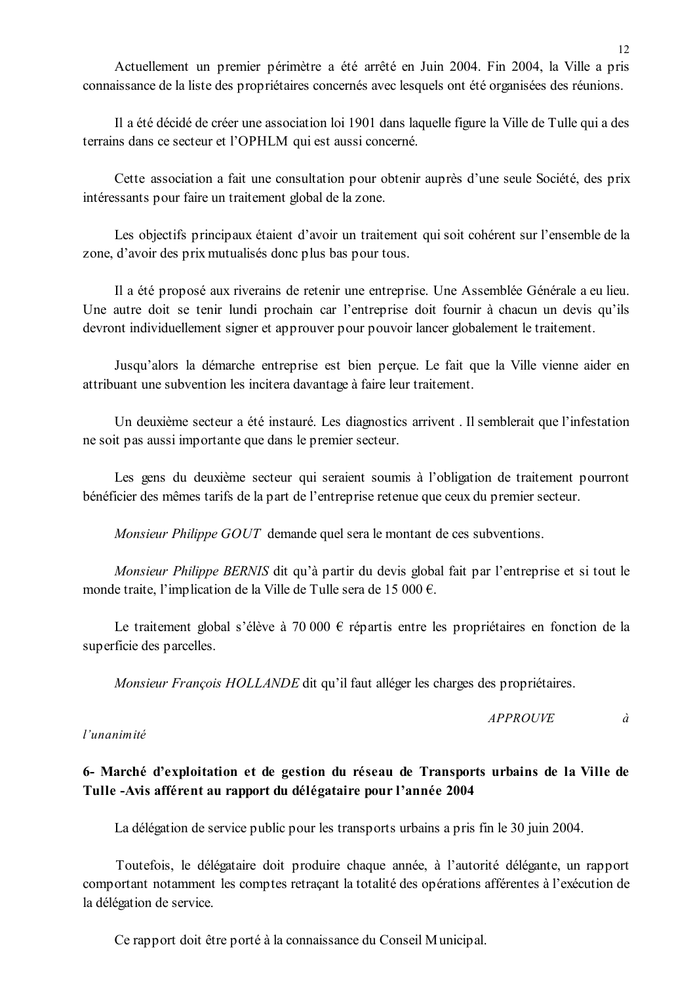Il a été décidé de créer une association loi 1901 dans laquelle figure la Ville de Tulle qui a des terrains dans ce secteur et l'OPHLM qui est aussi concerné.

Cette association a fait une consultation pour obtenir auprès d'une seule Société, des prix intéressants pour faire un traitement global de la zone.

Les objectifs principaux étaient d'avoir un traitement qui soit cohérent sur l'ensemble de la zone, d'avoir des prix mutualisés donc plus bas pour tous.

Il a été proposé aux riverains de retenir une entreprise. Une Assemblée Générale a eu lieu. Une autre doit se tenir lundi prochain car l'entreprise doit fournir à chacun un devis qu'ils devront individuellement signer et approuver pour pouvoir lancer globalement le traitement.

Jusqu'alors la démarche entreprise est bien percue. Le fait que la Ville vienne aider en attribuant une subvention les incitera davantage à faire leur traitement.

Un deuxième secteur a été instauré. Les diagnostics arrivent. Il semblerait que l'infestation ne soit pas aussi importante que dans le premier secteur.

Les gens du deuxième secteur qui seraient soumis à l'obligation de traitement pourront bénéficier des mêmes tarifs de la part de l'entreprise retenue que ceux du premier secteur.

Monsieur Philippe GOUT demande quel sera le montant de ces subventions.

Monsieur Philippe BERNIS dit qu'à partir du devis global fait par l'entreprise et si tout le monde traite, l'implication de la Ville de Tulle sera de 15 000 €.

Le traitement global s'élève à 70 000  $\epsilon$  répartis entre les propriétaires en fonction de la superficie des parcelles.

*Monsieur François HOLLANDE* dit qu'il faut alléger les charges des propriétaires.

*APPROUVE*  $\hat{a}$ 

l'unanimité

# 6- Marché d'exploitation et de gestion du réseau de Transports urbains de la Ville de Tulle -Avis afférent au rapport du délégataire pour l'année 2004

La délégation de service public pour les transports urbains a pris fin le 30 juin 2004.

Toutefois, le délégataire doit produire chaque année, à l'autorité délégante, un rapport comportant notamment les comptes retraçant la totalité des opérations afférentes à l'exécution de la délégation de service.

Ce rapport doit être porté à la connaissance du Conseil Municipal.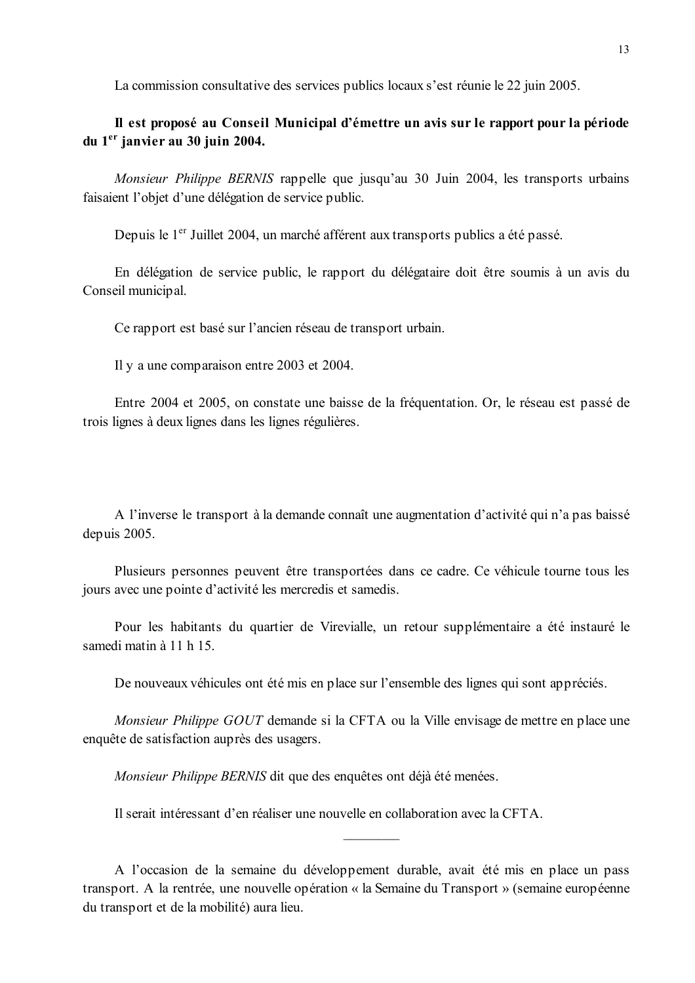La commission consultative des services publics locaux s'est réunie le 22 juin 2005.

# Il est proposé au Conseil Municipal d'émettre un avis sur le rapport pour la période du 1<sup>er</sup> janvier au 30 juin 2004.

*Monsieur Philippe BERNIS* rappelle que jusqu'au 30 Juin 2004, les transports urbains faisaient l'objet d'une délégation de service public.

Depuis le 1<sup>er</sup> Juillet 2004, un marché afférent aux transports publics a été passé.

En délégation de service public, le rapport du délégataire doit être soumis à un avis du Conseil municipal.

Ce rapport est basé sur l'ancien réseau de transport urbain.

Il y a une comparaison entre 2003 et 2004.

Entre 2004 et 2005, on constate une baisse de la fréquentation. Or, le réseau est passé de trois lignes à deux lignes dans les lignes régulières.

A l'inverse le transport à la demande connaît une augmentation d'activité qui n'a pas baissé depuis 2005.

Plusieurs personnes peuvent être transportées dans ce cadre. Ce véhicule tourne tous les jours avec une pointe d'activité les mercredis et samedis.

Pour les habitants du quartier de Virevialle, un retour supplémentaire a été instauré le samedi matin à 11 h 15.

De nouveaux véhicules ont été mis en place sur l'ensemble des lignes qui sont appréciés.

Monsieur Philippe GOUT demande si la CFTA ou la Ville envisage de mettre en place une enquête de satisfaction auprès des usagers.

Monsieur Philippe BERNIS dit que des enquêtes ont déjà été menées.

Il serait intéressant d'en réaliser une nouvelle en collaboration avec la CFTA.

A l'occasion de la semaine du développement durable, avait été mis en place un pass transport. A la rentrée, une nouvelle opération « la Semaine du Transport » (semaine européenne du transport et de la mobilité) aura lieu.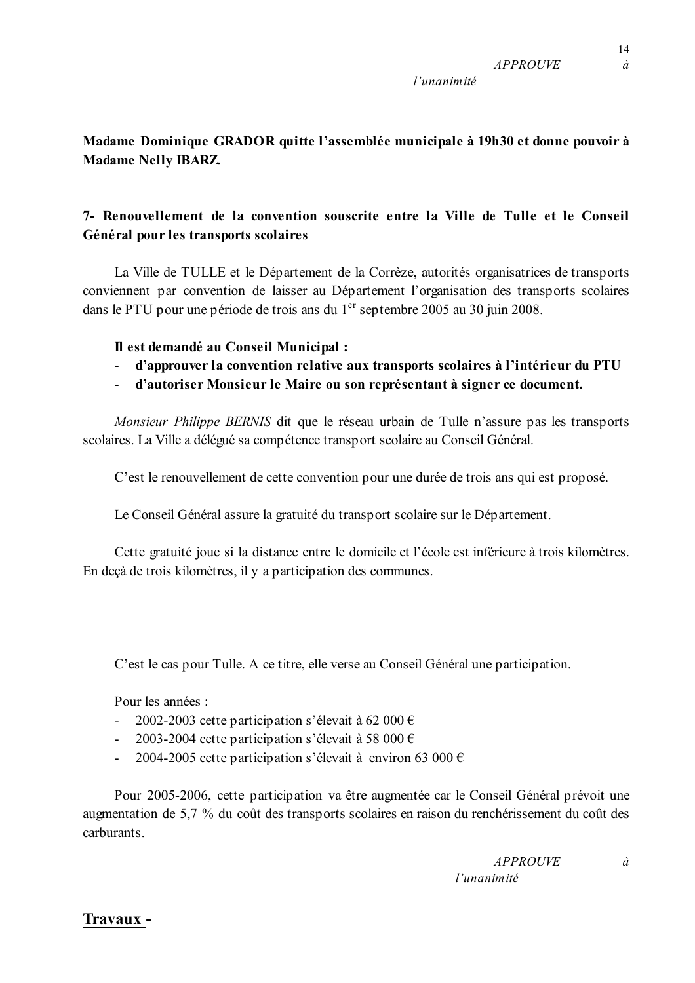$14$ 

 $\dot{a}$ 

# 7- Renouvellement de la convention souscrite entre la Ville de Tulle et le Conseil Général pour les transports scolaires

La Ville de TULLE et le Département de la Corrèze, autorités organisatrices de transports conviennent par convention de laisser au Département l'organisation des transports scolaires dans le PTU pour une période de trois ans du 1<sup>er</sup> septembre 2005 au 30 juin 2008.

# Il est demandé au Conseil Municipal :

**Madame Nelly IBARZ.** 

- d'approuver la convention relative aux transports scolaires à l'intérieur du PTU
- d'autoriser Monsieur le Maire ou son représentant à signer ce document.

Monsieur Philippe BERNIS dit que le réseau urbain de Tulle n'assure pas les transports scolaires. La Ville a délégué sa compétence transport scolaire au Conseil Général.

C'est le renouvellement de cette convention pour une durée de trois ans qui est proposé.

Le Conseil Général assure la gratuité du transport scolaire sur le Département.

Cette gratuité joue si la distance entre le domicile et l'école est inférieure à trois kilomètres. En deçà de trois kilomètres, il y a participation des communes.

C'est le cas pour Tulle. A ce titre, elle verse au Conseil Général une participation.

Pour les années :

- 2002-2003 cette participation s'élevait à 62 000 €
- 2003-2004 cette participation s'élevait à 58 000 €
- 2004-2005 cette participation s'élevait à environ 63 000 €

Pour 2005-2006, cette participation va être augmentée car le Conseil Général prévoit une augmentation de 5,7 % du coût des transports scolaires en raison du renchérissement du coût des carburants

> **APPROUVE**  $l'$ unanimité

Travaux -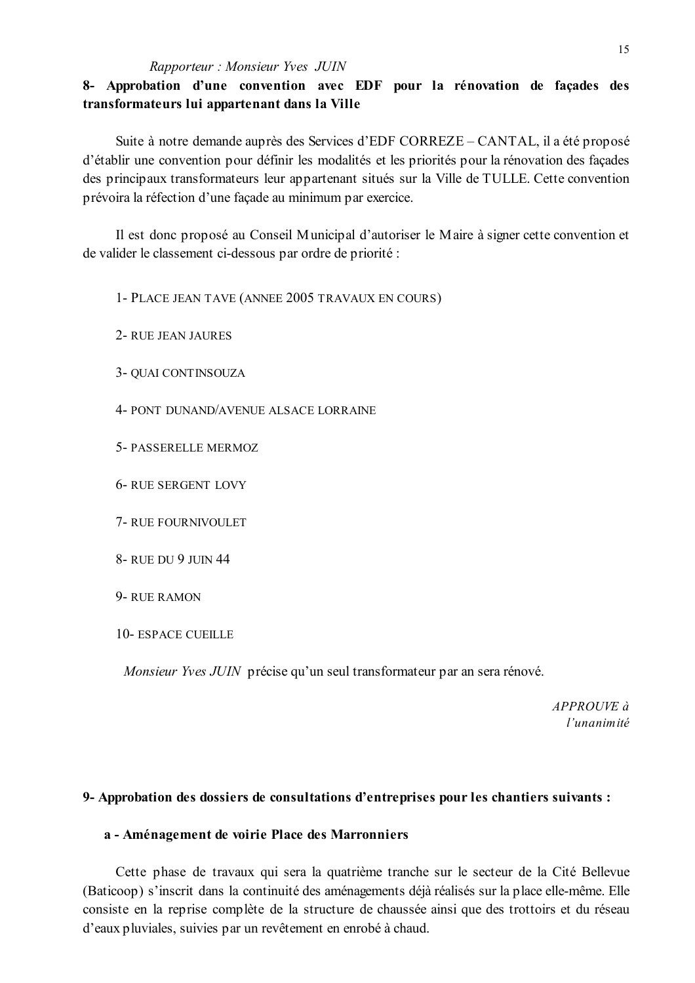# 8- Approbation d'une convention avec EDF pour la rénovation de façades des transformateurs lui appartenant dans la Ville

Suite à notre demande auprès des Services d'EDF CORREZE – CANTAL, il a été proposé d'établir une convention pour définir les modalités et les priorités pour la rénovation des facades des principaux transformateurs leur appartenant situés sur la Ville de TULLE. Cette convention prévoira la réfection d'une façade au minimum par exercice.

Il est donc proposé au Conseil Municipal d'autoriser le Maire à signer cette convention et de valider le classement ci-dessous par ordre de priorité :

1- PLACE JEAN TAVE (ANNEE 2005 TRAVAUX EN COURS)

2- RUE JEAN JAURES

3- QUAI CONTINSOUZA

4- PONT DUNAND/AVENUE ALSACE LORRAINE

- 5- PASSERELLE MERMOZ
- **6- RUE SERGENT LOVY**
- 7- RUE FOURNIVOULET
- 8- RUE DU 9 JUIN 44
- 9-RUE RAMON
- 10- ESPACE CUEILLE

*Monsieur Yves JUIN* précise qu'un seul transformateur par an sera rénové.

 $APPROIIVE \doteq$ l'unanimité

### 9- Approbation des dossiers de consultations d'entreprises pour les chantiers suivants :

#### a - Aménagement de voirie Place des Marronniers

Cette phase de travaux qui sera la quatrième tranche sur le secteur de la Cité Bellevue (Baticoop) s'inscrit dans la continuité des aménagements déjà réalisés sur la place elle-même. Elle consiste en la reprise complète de la structure de chaussée ainsi que des trottoirs et du réseau d'eaux pluviales, suivies par un revêtement en enrobé à chaud.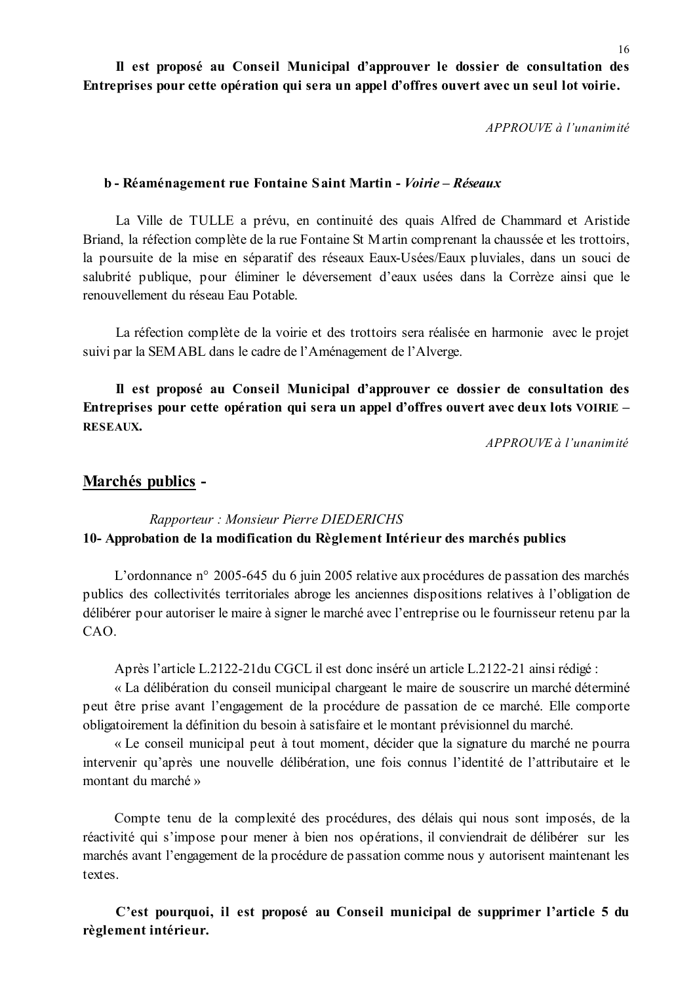Il est proposé au Conseil Municipal d'approuver le dossier de consultation des Entreprises pour cette opération qui sera un appel d'offres ouvert avec un seul lot voirie.

APPROUVE à l'unanimité

#### b - Réaménagement rue Fontaine Saint Martin - Voirie – Réseaux

La Ville de TULLE a prévu, en continuité des quais Alfred de Chammard et Aristide Briand, la réfection complète de la rue Fontaine St Martin comprenant la chaussée et les trottoirs, la poursuite de la mise en séparatif des réseaux Eaux-Usées/Eaux pluviales, dans un souci de salubrité publique, pour éliminer le déversement d'eaux usées dans la Corrèze ainsi que le renouvellement du réseau Eau Potable.

La réfection complète de la voirie et des trottoirs sera réalisée en harmonie avec le projet suivi par la SEMABL dans le cadre de l'Aménagement de l'Alverge.

Il est proposé au Conseil Municipal d'approuver ce dossier de consultation des Entreprises pour cette opération qui sera un appel d'offres ouvert avec deux lots VOIRIE – **RESEAUX.** 

 $APPROIIVE$  à l'unanimité

### Marchés publics -

# Rapporteur: Monsieur Pierre DIEDERICHS 10- Approbation de la modification du Règlement Intérieur des marchés publics

L'ordonnance n° 2005-645 du 6 juin 2005 relative aux procédures de passation des marchés publics des collectivités territoriales abroge les anciennes dispositions relatives à l'obligation de délibérer pour autoriser le maire à signer le marché avec l'entreprise ou le fournisseur retenu par la CAO.

Après l'article L.2122-21 du CGCL il est donc inséré un article L.2122-21 ainsi rédigé :

« La délibération du conseil municipal chargeant le maire de souscrire un marché déterminé peut être prise avant l'engagement de la procédure de passation de ce marché. Elle comporte obligatoirement la définition du besoin à satisfaire et le montant prévisionnel du marché.

« Le conseil municipal peut à tout moment, décider que la signature du marché ne pourra intervenir qu'après une nouvelle délibération, une fois connus l'identité de l'attributaire et le montant du marché »

Compte tenu de la complexité des procédures, des délais qui nous sont imposés, de la réactivité qui s'impose pour mener à bien nos opérations, il conviendrait de délibérer sur les marchés avant l'engagement de la procédure de passation comme nous y autorisent maintenant les textes

C'est pourquoi, il est proposé au Conseil municipal de supprimer l'article 5 du règlement intérieur.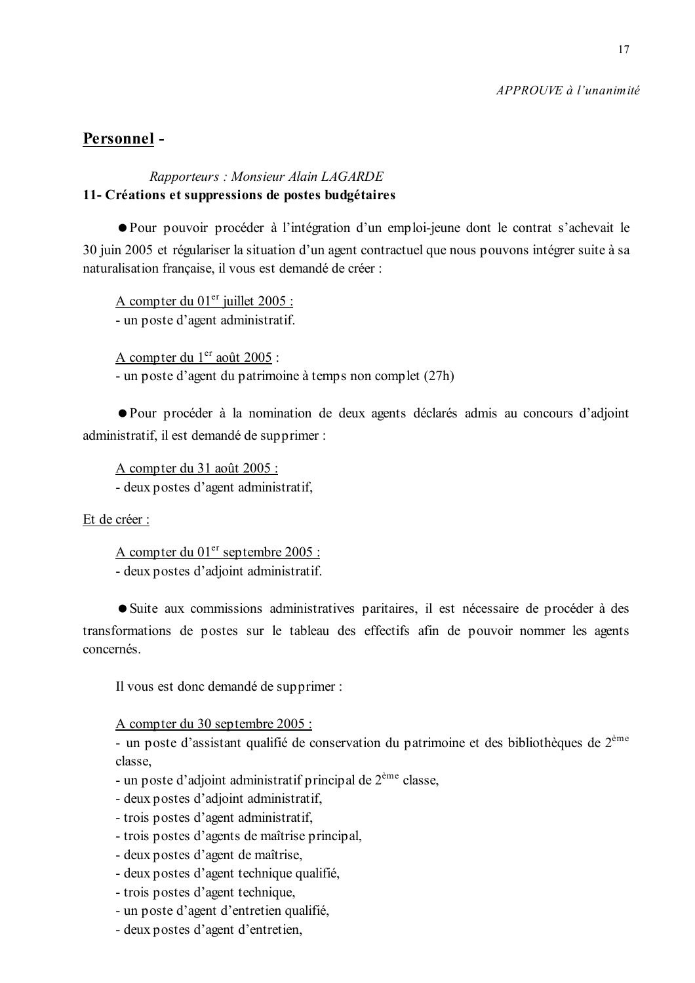### APPROUVE à l'unanimité

# Personnel-

## Rapporteurs: Monsieur Alain LAGARDE 11- Créations et suppressions de postes budgétaires

• Pour pouvoir procéder à l'intégration d'un emploi-jeune dont le contrat s'achevait le 30 juin 2005 et régulariser la situation d'un agent contractuel que nous pouvons intégrer suite à sa naturalisation française, il vous est demandé de créer :

A compter du 01<sup>er</sup> juillet 2005 : - un poste d'agent administratif.

A compter du 1<sup>er</sup> août 2005 :

- un poste d'agent du patrimoine à temps non complet (27h)

• Pour procéder à la nomination de deux agents déclarés admis au concours d'adjoint administratif, il est demandé de supprimer :

A compter du 31 août 2005 :

- deux postes d'agent administratif,

Et de créer :

A compter du 01<sup>er</sup> septembre 2005 : - deux postes d'adjoint administratif.

• Suite aux commissions administratives paritaires, il est nécessaire de procéder à des transformations de postes sur le tableau des effectifs afin de pouvoir nommer les agents concernés

Il vous est donc demandé de supprimer :

A compter du 30 septembre 2005 :

- un poste d'assistant qualifié de conservation du patrimoine et des bibliothèques de 2<sup>ème</sup> classe.

- un poste d'adjoint administratif principal de  $2^{\text{eme}}$  classe,
- deux postes d'adjoint administratif,
- trois postes d'agent administratif,
- trois postes d'agents de maîtrise principal,
- deux postes d'agent de maîtrise,
- deux postes d'agent technique qualifié,
- trois postes d'agent technique,
- un poste d'agent d'entretien qualifié,
- deux postes d'agent d'entretien,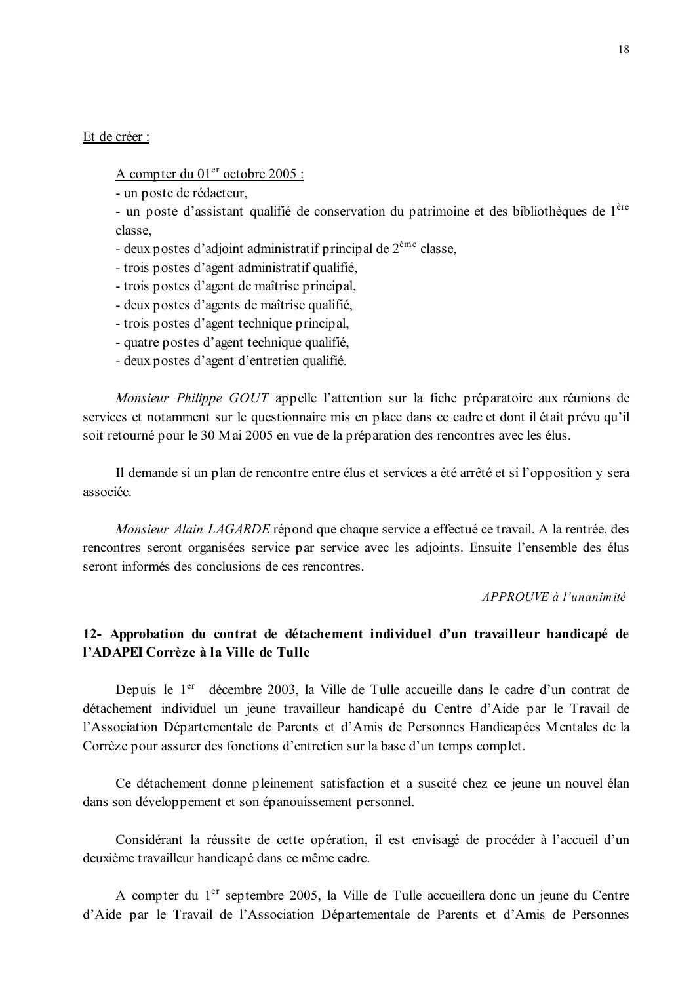#### Et de créer :

### A compter du 01<sup>er</sup> octobre 2005 :

- un poste de rédacteur.

- un poste d'assistant qualifié de conservation du patrimoine et des bibliothèques de l<sup>ère</sup> classe.

- deux postes d'adjoint administratif principal de  $2<sup>eme</sup>$  classe,
- trois postes d'agent administratif qualifié,
- trois postes d'agent de maîtrise principal,
- deux postes d'agents de maîtrise qualifié,
- trois postes d'agent technique principal,
- quatre postes d'agent technique qualifié.
- deux postes d'agent d'entretien qualifié.

Monsieur Philippe GOUT appelle l'attention sur la fiche préparatoire aux réunions de services et notamment sur le questionnaire mis en place dans ce cadre et dont il était prévu qu'il soit retourné pour le 30 M ai 2005 en vue de la préparation des rencontres avec les élus.

Il demande si un plan de rencontre entre élus et services a été arrêté et si l'opposition y sera associée.

Monsieur Alain LAGARDE répond que chaque service a effectué ce travail. A la rentrée, des rencontres seront organisées service par service avec les adjoints. Ensuite l'ensemble des élus seront informés des conclusions de ces rencontres.

### $APPROIIVE \d{d} l'unanim it\'e$

# 12- Approbation du contrat de détachement individuel d'un travailleur handicapé de l'ADAPEI Corrèze à la Ville de Tulle

Depuis le 1<sup>er</sup> décembre 2003, la Ville de Tulle accueille dans le cadre d'un contrat de détachement individuel un jeune travailleur handicapé du Centre d'Aide par le Travail de l'Association Départementale de Parents et d'Amis de Personnes Handicapées Mentales de la Corrèze pour assurer des fonctions d'entretien sur la base d'un temps complet.

Ce détachement donne pleinement satisfaction et a suscité chez ce jeune un nouvel élan dans son développement et son épanouissement personnel.

Considérant la réussite de cette opération, il est envisagé de procéder à l'accueil d'un deuxième travailleur handicapé dans ce même cadre.

A compter du 1<sup>er</sup> septembre 2005, la Ville de Tulle accueillera donc un jeune du Centre d'Aide par le Travail de l'Association Départementale de Parents et d'Amis de Personnes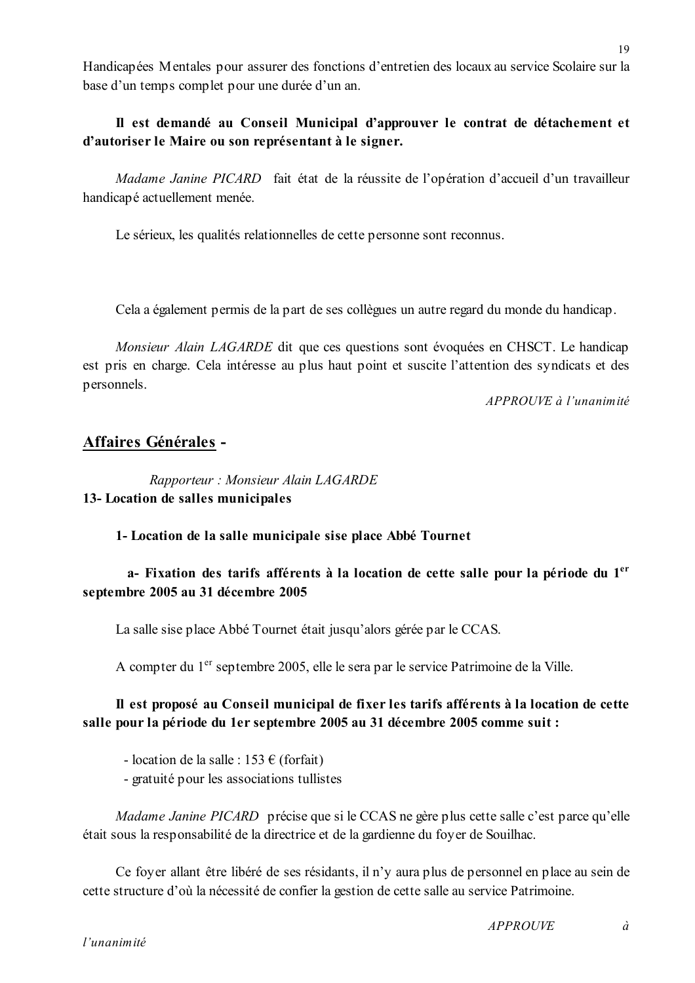Handicapées Mentales pour assurer des fonctions d'entretien des locaux au service Scolaire sur la base d'un temps complet pour une durée d'un an.

# Il est demandé au Conseil Municipal d'approuver le contrat de détachement et d'autoriser le Maire ou son représentant à le signer.

*Madame Janine PICARD* fait état de la réussite de l'opération d'accueil d'un travailleur handicapé actuellement menée.

Le sérieux, les qualités relationnelles de cette personne sont reconnus.

Cela a également permis de la part de ses collègues un autre regard du monde du handicap.

Monsieur Alain LAGARDE dit que ces questions sont évoquées en CHSCT. Le handicap est pris en charge. Cela intéresse au plus haut point et suscite l'attention des syndicats et des personnels.

 $APPROIIVE$  à l'unanimité

# Affaires Générales -

Rapporteur: Monsieur Alain LAGARDE 13- Location de salles municipales

1- Location de la salle municipale sise place Abbé Tournet

# a- Fixation des tarifs afférents à la location de cette salle pour la période du 1<sup>er</sup> septembre 2005 au 31 décembre 2005

La salle sise place Abbé Tournet était jusqu'alors gérée par le CCAS.

A compter du 1<sup>er</sup> septembre 2005, elle le sera par le service Patrimoine de la Ville.

# Il est proposé au Conseil municipal de fixer les tarifs afférents à la location de cette salle pour la période du 1er septembre 2005 au 31 décembre 2005 comme suit :

- location de la salle :  $153 \text{ } \in$  (forfait)

- gratuité pour les associations tullistes

Madame Janine PICARD précise que si le CCAS ne gère plus cette salle c'est parce qu'elle était sous la responsabilité de la directrice et de la gardienne du foyer de Souilhac.

Ce foyer allant être libéré de ses résidants, il n'y aura plus de personnel en place au sein de cette structure d'où la nécessité de confier la gestion de cette salle au service Patrimoine.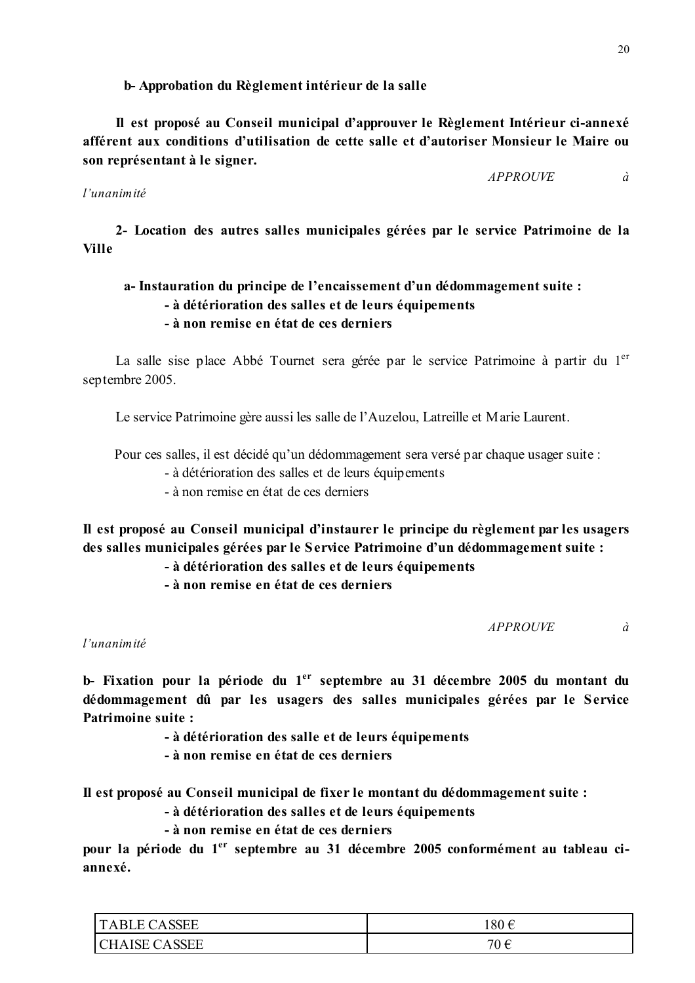b-Approbation du Règlement intérieur de la salle

Il est proposé au Conseil municipal d'approuver le Règlement Intérieur ci-annexé afférent aux conditions d'utilisation de cette salle et d'autoriser Monsieur le Maire ou son représentant à le signer.

### *APPROUVE*

### l'unanimité

2- Location des autres salles municipales gérées par le service Patrimoine de la **Ville** 

# a-Instauration du principe de l'encaissement d'un dédommagement suite : - à détérioration des salles et de leurs équipements - à non remise en état de ces derniers

La salle sise place Abbé Tournet sera gérée par le service Patrimoine à partir du 1<sup>er</sup> septembre 2005.

Le service Patrimoine gère aussi les salle de l'Auzelou, Latreille et Marie Laurent.

Pour ces salles, il est décidé qu'un dédommagement sera versé par chaque usager suite :

- à détérioration des salles et de leurs équipements

- à non remise en état de ces derniers

Il est proposé au Conseil municipal d'instaurer le principe du règlement par les usagers des salles municipales gérées par le Service Patrimoine d'un dédommagement suite :

- à détérioration des salles et de leurs équipements

- à non remise en état de ces derniers

**APPROUVE** à

l'unanimité

b- Fixation pour la période du 1<sup>er</sup> septembre au 31 décembre 2005 du montant du dédommagement dû par les usagers des salles municipales gérées par le Service **Patrimoine suite:** 

- à détérioration des salle et de leurs équipements

- à non remise en état de ces derniers

Il est proposé au Conseil municipal de fixer le montant du dédommagement suite :

- à détérioration des salles et de leurs équipements

- à non remise en état de ces derniers

pour la période du 1<sup>er</sup> septembre au 31 décembre 2005 conformément au tableau ciannexé.

| <b>ABLE CASSEE</b><br>$\mathbf{1}$                                                                | $180 \in$ |  |  |
|---------------------------------------------------------------------------------------------------|-----------|--|--|
| <b>ASSEE</b><br>$\mathsf{I}$ ( $\mathsf{I}$ $\mathsf{H}$ $\mathsf{\Delta}$<br>$\Delta$ ISE $\ell$ | 70 €      |  |  |

 $\hat{a}$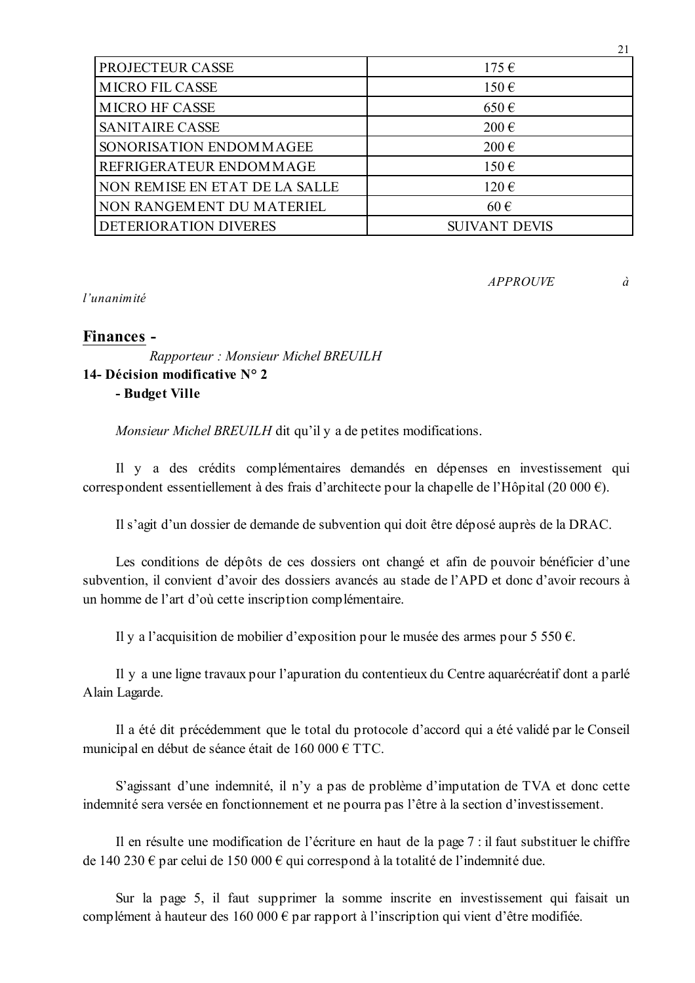| PROJECTEUR CASSE               | $175 \in$            |
|--------------------------------|----------------------|
| <b>MICRO FIL CASSE</b>         | $150 \in$            |
| <b>MICRO HF CASSE</b>          | $650 \text{ } \in$   |
| <b>SANITAIRE CASSE</b>         | $200 \text{ } \in$   |
| SONORISATION ENDOMMAGEE        | $200 \text{ } \in$   |
| REFRIGERATEUR ENDOMMAGE        | 150€                 |
| NON REMISE EN ETAT DE LA SALLE | 120€                 |
| NON RANGEMENT DU MATERIEL      | $60 \in$             |
| DETERIORATION DIVERES          | <b>SUIVANT DEVIS</b> |

**APPROUVE** à

 $21$ 

l'unanimité

## Finances -

Rapporteur: Monsieur Michel BREUILH 14- Décision modificative  $N^{\circ}$  2 - Budget Ville

Monsieur Michel BREUILH dit qu'il y a de petites modifications.

Il y a des crédits complémentaires demandés en dépenses en investissement qui correspondent essentiellement à des frais d'architecte pour la chapelle de l'Hôpital (20 000 €).

Il s'agit d'un dossier de demande de subvention qui doit être déposé auprès de la DRAC.

Les conditions de dépôts de ces dossiers ont changé et afin de pouvoir bénéficier d'une subvention, il convient d'avoir des dossiers avancés au stade de l'APD et donc d'avoir recours à un homme de l'art d'où cette inscription complémentaire.

Il y a l'acquisition de mobilier d'exposition pour le musée des armes pour 5 550  $\epsilon$ .

Il y a une ligne travaux pour l'apuration du contentieux du Centre aquarécréatif dont a parlé Alain Lagarde.

Il a été dit précédemment que le total du protocole d'accord qui a été validé par le Conseil municipal en début de séance était de 160 000 € TTC.

S'agissant d'une indemnité, il n'y a pas de problème d'imputation de TVA et donc cette indemnité sera versée en fonctionnement et ne pourra pas l'être à la section d'investissement.

Il en résulte une modification de l'écriture en haut de la page 7 : il faut substituer le chiffre de 140 230  $\epsilon$  par celui de 150 000  $\epsilon$  qui correspond à la totalité de l'indemnité due.

Sur la page 5, il faut supprimer la somme inscrite en investissement qui faisait un complément à hauteur des 160 000  $\epsilon$  par rapport à l'inscription qui vient d'être modifiée.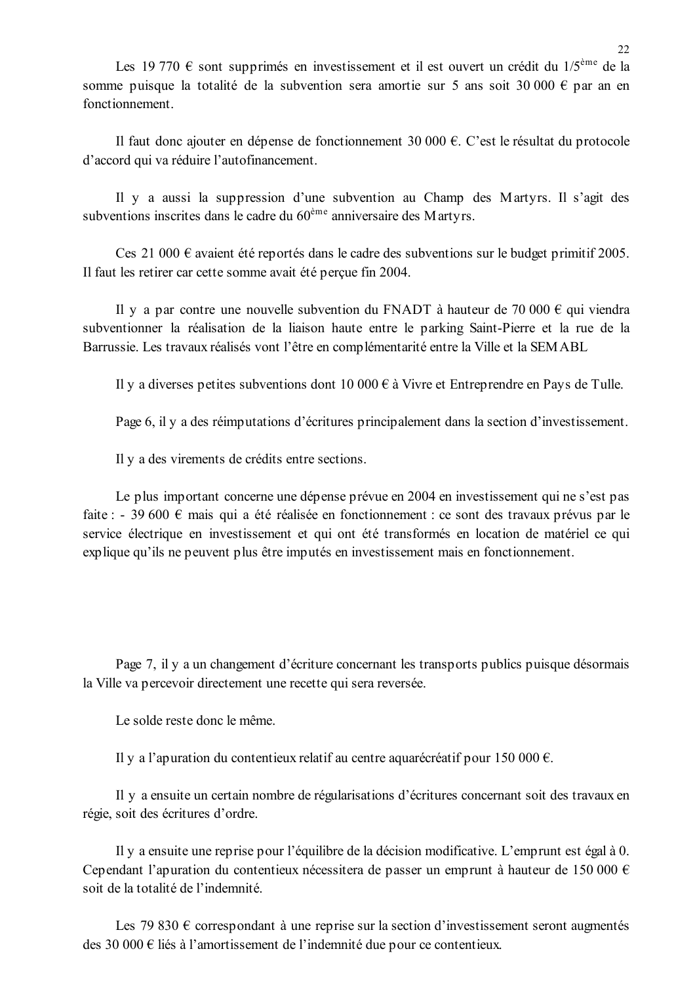Les 19 770  $\epsilon$  sont supprimés en investissement et il est ouvert un crédit du 1/5<sup>ème</sup> de la somme puisque la totalité de la subvention sera amortie sur 5 ans soit 30 000 € par an en fonctionnement.

Il faut donc ajouter en dépense de fonctionnement 30 000  $\epsilon$ . C'est le résultat du protocole d'accord qui va réduire l'autofinancement.

Il y a aussi la suppression d'une subvention au Champ des Martyrs. Il s'agit des subventions inscrites dans le cadre du 60<sup>ème</sup> anniversaire des Martyrs.

Ces 21 000  $\epsilon$  avaient été reportés dans le cadre des subventions sur le budget primitif 2005. Il faut les retirer car cette somme avait été perçue fin 2004.

Il y a par contre une nouvelle subvention du FNADT à hauteur de 70 000  $\epsilon$  qui viendra subventionner la réalisation de la liaison haute entre le parking Saint-Pierre et la rue de la Barrussie. Les travaux réalisés vont l'être en complémentarité entre la Ville et la SEMABL

Il y a diverses petites subventions dont 10 000  $\epsilon$  à Vivre et Entreprendre en Pays de Tulle.

Page 6, il y a des réimputations d'écritures principalement dans la section d'investissement.

Il y a des virements de crédits entre sections.

Le plus important concerne une dépense prévue en 2004 en investissement qui ne s'est pas faite : - 39 600  $\epsilon$  mais qui a été réalisée en fonctionnement : ce sont des travaux prévus par le service électrique en investissement et qui ont été transformés en location de matériel ce qui explique qu'ils ne peuvent plus être imputés en investissement mais en fonctionnement.

Page 7, il y a un changement d'écriture concernant les transports publics puisque désormais la Ville va percevoir directement une recette qui sera reversée.

Le solde reste donc le même.

Il y a l'apuration du contentieux relatif au centre aquarécréatif pour 150 000  $\epsilon$ .

Il y a ensuite un certain nombre de régularisations d'écritures concernant soit des travaux en régie, soit des écritures d'ordre.

Il y a ensuite une reprise pour l'équilibre de la décision modificative. L'emprunt est égal à 0. Cependant l'apuration du contentieux nécessitera de passer un emprunt à hauteur de 150 000  $\epsilon$ soit de la totalité de l'indemnité

Les 79 830  $\epsilon$  correspondant à une reprise sur la section d'investissement seront augmentés des 30 000  $\epsilon$  liés à l'amortissement de l'indemnité due pour ce contentieux.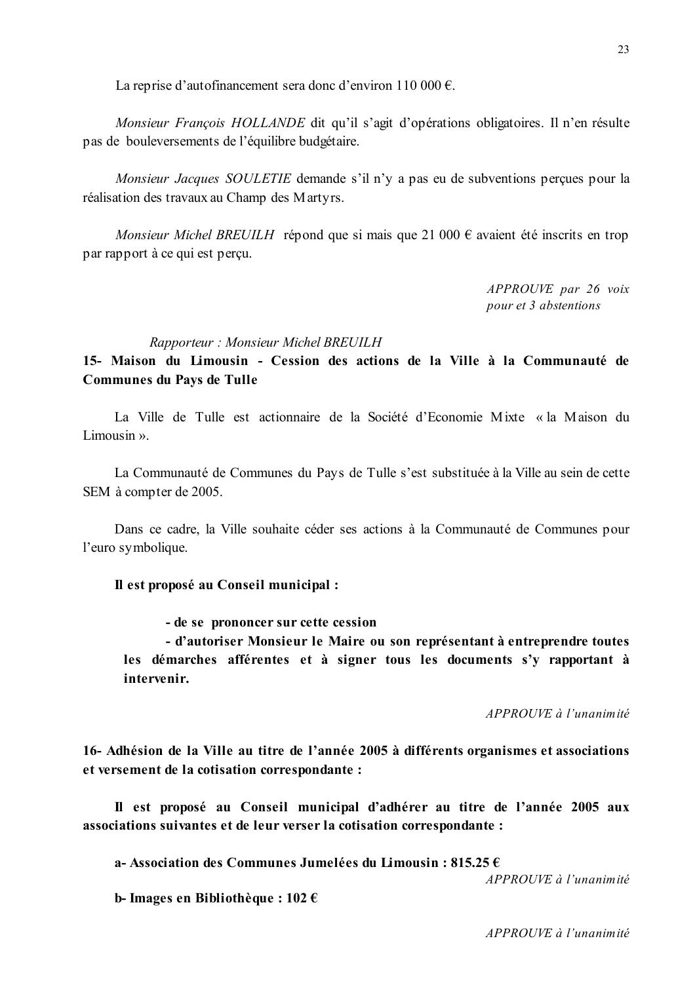La reprise d'autofinancement sera donc d'environ 110 000 €.

Monsieur François HOLLANDE dit qu'il s'agit d'opérations obligatoires. Il n'en résulte pas de bouleversements de l'équilibre budgétaire.

*Monsieur Jacques SOULETIE* demande s'il n'y a pas eu de subventions percues pour la réalisation des travaux au Champ des Martyrs.

Monsieur Michel BREUILH répond que si mais que 21 000  $\epsilon$  avaient été inscrits en trop par rapport à ce qui est percu.

> APPROUVE par 26 voix pour et 3 abstentions

#### Rapporteur: Monsieur Michel BREUILH

15- Maison du Limousin - Cession des actions de la Ville à la Communauté de **Communes du Pays de Tulle** 

La Ville de Tulle est actionnaire de la Société d'Economie Mixte « la Maison du Limousin  $\mathcal{P}$ .

La Communauté de Communes du Pays de Tulle s'est substituée à la Ville au sein de cette SEM à compter de 2005.

Dans ce cadre, la Ville souhaite céder ses actions à la Communauté de Communes pour l'euro symbolique.

#### Il est proposé au Conseil municipal :

- de se prononcer sur cette cession

- d'autoriser Monsieur le Maire ou son représentant à entreprendre toutes les démarches afférentes et à signer tous les documents s'y rapportant à intervenir.

APPROUVE à l'unanimité

16- Adhésion de la Ville au titre de l'année 2005 à différents organismes et associations et versement de la cotisation correspondante :

Il est proposé au Conseil municipal d'adhérer au titre de l'année 2005 aux associations suivantes et de leur verser la cotisation correspondante :

a-Association des Communes Jumelées du Limousin : 815.25 €

APPROUVE à l'unanimité

b-Images en Bibliothèque:  $102 \in$ 

APPROUVE à l'unanimité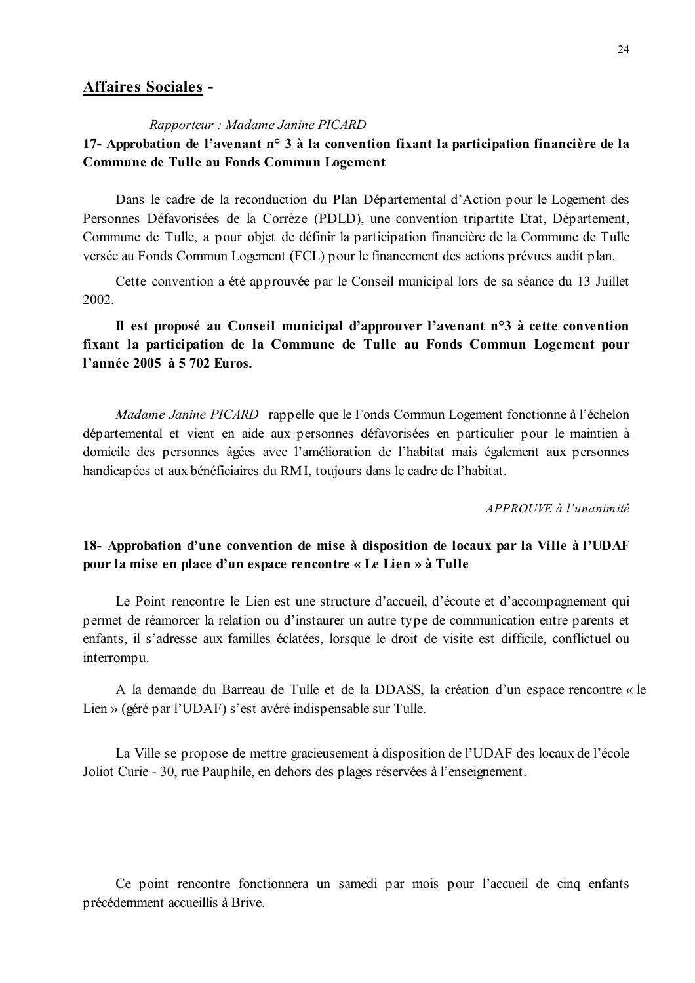# **Affaires Sociales -**

#### Rapporteur: Madame Janine PICARD

# 17- Approbation de l'avenant n° 3 à la convention fixant la participation financière de la Commune de Tulle au Fonds Commun Logement

Dans le cadre de la reconduction du Plan Départemental d'Action pour le Logement des Personnes Défavorisées de la Corrèze (PDLD), une convention tripartite Etat, Département, Commune de Tulle, a pour objet de définir la participation financière de la Commune de Tulle versée au Fonds Commun Logement (FCL) pour le financement des actions prévues audit plan.

Cette convention a été approuvée par le Conseil municipal lors de sa séance du 13 Juillet 2002.

# Il est proposé au Conseil municipal d'approuver l'avenant n°3 à cette convention fixant la participation de la Commune de Tulle au Fonds Commun Logement pour l'année 2005 à 5 702 Euros.

Madame Janine PICARD rappelle que le Fonds Commun Logement fonctionne à l'échelon départemental et vient en aide aux personnes défavorisées en particulier pour le maintien à domicile des personnes âgées avec l'amélioration de l'habitat mais également aux personnes handicapées et aux bénéficiaires du RMI, toujours dans le cadre de l'habitat.

APPROUVE à l'unanimité

# 18- Approbation d'une convention de mise à disposition de locaux par la Ville à l'UDAF pour la mise en place d'un espace rencontre « Le Lien » à Tulle

Le Point rencontre le Lien est une structure d'accueil, d'écoute et d'accompagnement qui permet de réamorcer la relation ou d'instaurer un autre type de communication entre parents et enfants, il s'adresse aux familles éclatées, lorsque le droit de visite est difficile, conflictuel ou interrompu.

A la demande du Barreau de Tulle et de la DDASS, la création d'un espace rencontre « le Lien » (géré par l'UDAF) s'est avéré indispensable sur Tulle.

La Ville se propose de mettre gracieusement à disposition de l'UDAF des locaux de l'école Joliot Curie - 30, rue Pauphile, en dehors des plages réservées à l'enseignement.

Ce point rencontre fonctionnera un samedi par mois pour l'accueil de cinq enfants précédemment accueillis à Brive.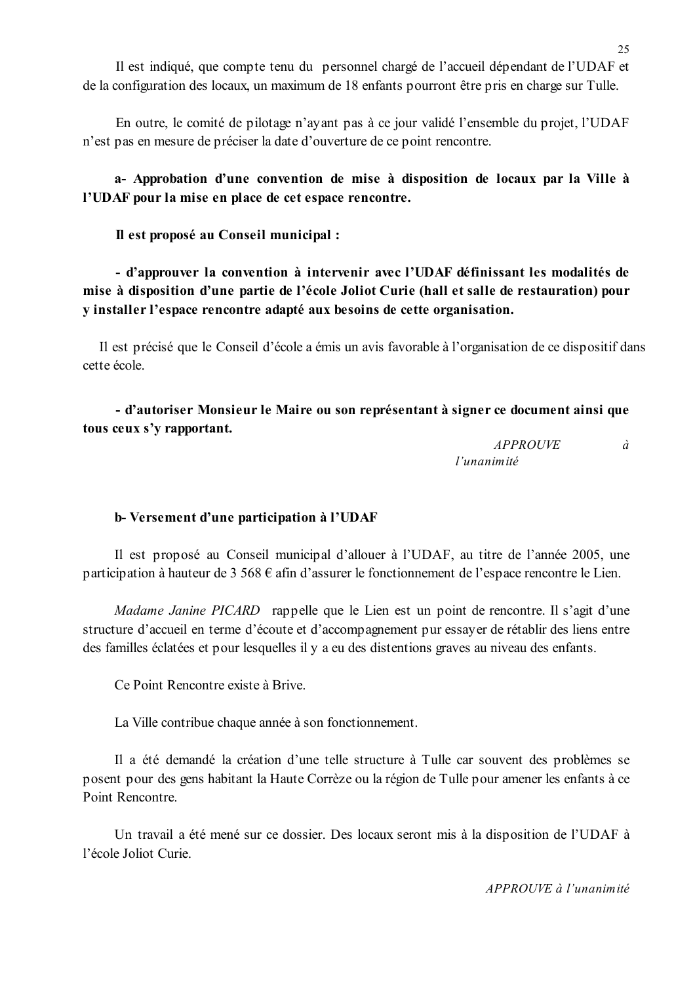Il est indiqué, que compte tenu du personnel chargé de l'accueil dépendant de l'UDAF et de la configuration des locaux, un maximum de 18 enfants pourront être pris en charge sur Tulle.

En outre, le comité de pilotage n'ayant pas à ce jour validé l'ensemble du projet, l'UDAF n'est pas en mesure de préciser la date d'ouverture de ce point rencontre.

# a- Approbation d'une convention de mise à disposition de locaux par la Ville à l'UDAF pour la mise en place de cet espace rencontre.

Il est proposé au Conseil municipal :

- d'approuver la convention à intervenir avec l'UDAF définissant les modalités de mise à disposition d'une partie de l'école Joliot Curie (hall et salle de restauration) pour y installer l'espace rencontre adapté aux besoins de cette organisation.

Il est précisé que le Conseil d'école a émis un avis favorable à l'organisation de ce dispositif dans cette école

- d'autoriser Monsieur le Maire ou son représentant à signer ce document ainsi que tous ceux s'y rapportant.

> **APPROUVE**  $\hat{a}$ l'unanimité

### b-Versement d'une participation à l'UDAF

Il est proposé au Conseil municipal d'allouer à l'UDAF, au titre de l'année 2005, une participation à hauteur de 3 568  $\epsilon$  afin d'assurer le fonctionnement de l'espace rencontre le Lien.

Madame Janine PICARD rappelle que le Lien est un point de rencontre. Il s'agit d'une structure d'accueil en terme d'écoute et d'accompagnement pur essayer de rétablir des liens entre des familles éclatées et pour lesquelles il y a eu des distentions graves au niveau des enfants.

Ce Point Rencontre existe à Brive

La Ville contribue chaque année à son fonctionnement.

Il a été demandé la création d'une telle structure à Tulle car souvent des problèmes se posent pour des gens habitant la Haute Corrèze ou la région de Tulle pour amener les enfants à ce Point Rencontre

Un travail a été mené sur ce dossier. Des locaux seront mis à la disposition de l'UDAF à l'école Joliot Curie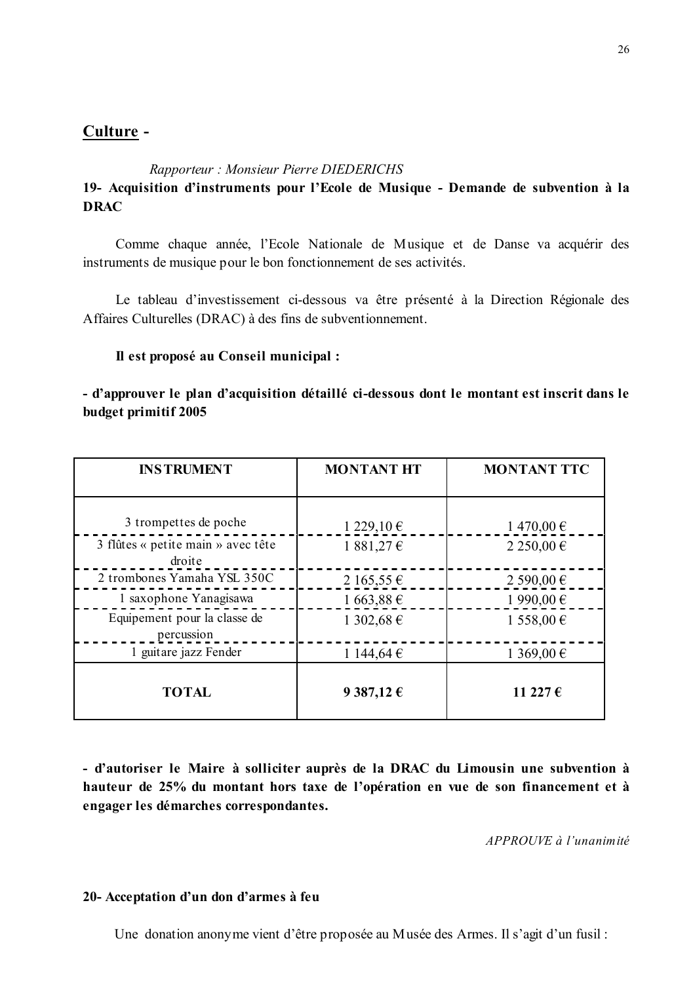## Culture -

Rapporteur: Monsieur Pierre DIEDERICHS 19- Acquisition d'instruments pour l'Ecole de Musique - Demande de subvention à la **DRAC** 

Comme chaque année, l'Ecole Nationale de Musique et de Danse va acquérir des instruments de musique pour le bon fonctionnement de ses activités.

Le tableau d'investissement ci-dessous va être présenté à la Direction Régionale des Affaires Culturelles (DRAC) à des fins de subventionnement.

### Il est proposé au Conseil municipal :

- d'approuver le plan d'acquisition détaillé ci-dessous dont le montant est inscrit dans le budget primitif 2005

| <b>INSTRUMENT</b>                            | <b>MONTANT HT</b> | <b>MONTANT TTC</b> |  |
|----------------------------------------------|-------------------|--------------------|--|
|                                              |                   |                    |  |
| 3 trompettes de poche                        | 1229,10€          | 1470,00€           |  |
| 3 flûtes « petite main » avec tête<br>droite | 1881,27€          | 2 250,00 €         |  |
| 2 trombones Yamaha YSL 350C                  | 2 165,55 €        | 2 590,00 €         |  |
| 1 saxophone Yanagisawa                       | 1663,88€          | 1 990,00 €         |  |
| Equipement pour la classe de<br>percussion   | 1 302,68 €        | 1 558,00 €         |  |
| 1 guitare jazz Fender                        | 1 144,64 €        | 1 369,00 €         |  |
| <b>TOTAL</b>                                 | 9 387,12 €        | 11 227 €           |  |

- d'autoriser le Maire à solliciter auprès de la DRAC du Limousin une subvention à hauteur de 25% du montant hors taxe de l'opération en vue de son financement et à engager les démarches correspondantes.

APPROUVE à l'unanimité

### 20- Acceptation d'un don d'armes à feu

Une donation anonyme vient d'être proposée au Musée des Armes. Il s'agit d'un fusil :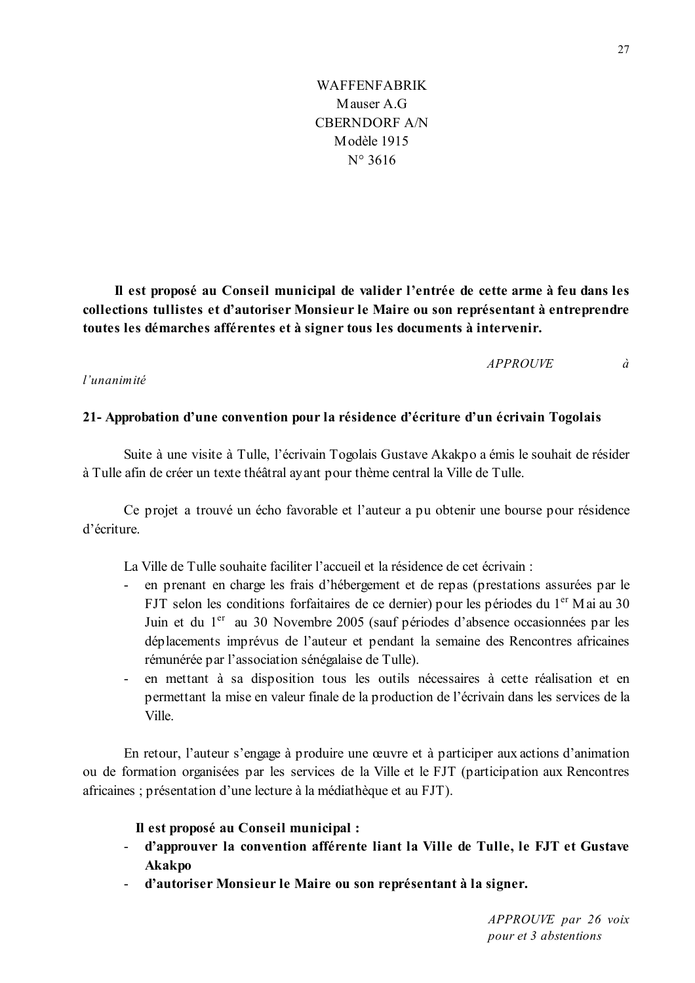Il est proposé au Conseil municipal de valider l'entrée de cette arme à feu dans les collections tullistes et d'autoriser Monsieur le Maire ou son représentant à entreprendre toutes les démarches afférentes et à signer tous les documents à intervenir.

> **APPROUVE**  $\dot{a}$

### $l'$ unanimité

### 21- Approbation d'une convention pour la résidence d'écriture d'un écrivain Togolais

Suite à une visite à Tulle, l'écrivain Togolais Gustave Akakpo a émis le souhait de résider à Tulle afin de créer un texte théâtral ayant pour thème central la Ville de Tulle.

Ce projet a trouvé un écho favorable et l'auteur a pu obtenir une bourse pour résidence d'écriture

La Ville de Tulle souhaite faciliter l'accueil et la résidence de cet écrivain :

- en prenant en charge les frais d'hébergement et de repas (prestations assurées par le FJT selon les conditions forfaitaires de ce dernier) pour les périodes du 1<sup>er</sup> Mai au 30 Juin et du 1<sup>er</sup> au 30 Novembre 2005 (sauf périodes d'absence occasionnées par les déplacements imprévus de l'auteur et pendant la semaine des Rencontres africaines rémunérée par l'association sénégalaise de Tulle).
- en mettant à sa disposition tous les outils nécessaires à cette réalisation et en permettant la mise en valeur finale de la production de l'écrivain dans les services de la Ville.

En retour, l'auteur s'engage à produire une œuvre et à participer aux actions d'animation ou de formation organisées par les services de la Ville et le FJT (participation aux Rencontres africaines; présentation d'une lecture à la médiathèque et au FJT).

### Il est proposé au Conseil municipal :

- d'approuver la convention afférente liant la Ville de Tulle, le FJT et Gustave **Akakpo**
- $\omega_{\rm{max}}$ d'autoriser Monsieur le Maire ou son représentant à la signer.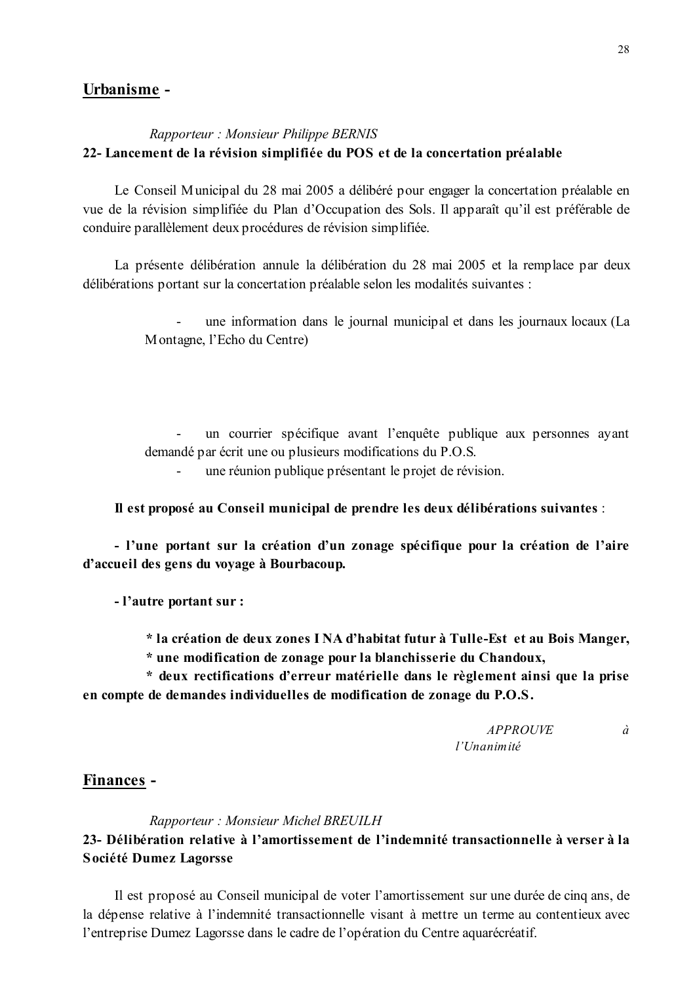## Urbanisme -

### Rapporteur: Monsieur Philippe BERNIS 22- Lancement de la révision simplifiée du POS et de la concertation préalable

Le Conseil Municipal du 28 mai 2005 a délibéré pour engager la concertation préalable en vue de la révision simplifiée du Plan d'Occupation des Sols. Il apparaît qu'il est préférable de conduire parallèlement deux procédures de révision simplifiée.

La présente délibération annule la délibération du 28 mai 2005 et la remplace par deux délibérations portant sur la concertation préalable selon les modalités suivantes :

> une information dans le journal municipal et dans les journaux locaux (La Montagne, l'Echo du Centre)

> un courrier spécifique avant l'enquête publique aux personnes ayant demandé par écrit une ou plusieurs modifications du P.O.S.

une réunion publique présentant le projet de révision.

Il est proposé au Conseil municipal de prendre les deux délibérations suivantes :

- l'une portant sur la création d'un zonage spécifique pour la création de l'aire d'accueil des gens du voyage à Bourbacoup.

- l'autre portant sur :

\* la création de deux zones INA d'habitat futur à Tulle-Est et au Bois Manger,

\* une modification de zonage pour la blanchisserie du Chandoux,

\* deux rectifications d'erreur matérielle dans le règlement ainsi que la prise en compte de demandes individuelles de modification de zonage du P.O.S.

> **APPROUVE**  $\dot{a}$ l'Unanimité

### Finances -

Rapporteur: Monsieur Michel BREUILH

# 23- Délibération relative à l'amortissement de l'indemnité transactionnelle à verser à la Société Dumez Lagorsse

Il est proposé au Conseil municipal de voter l'amortissement sur une durée de cinq ans, de la dépense relative à l'indemnité transactionnelle visant à mettre un terme au contentieux avec l'entreprise Dumez Lagorsse dans le cadre de l'opération du Centre aquarécréatif.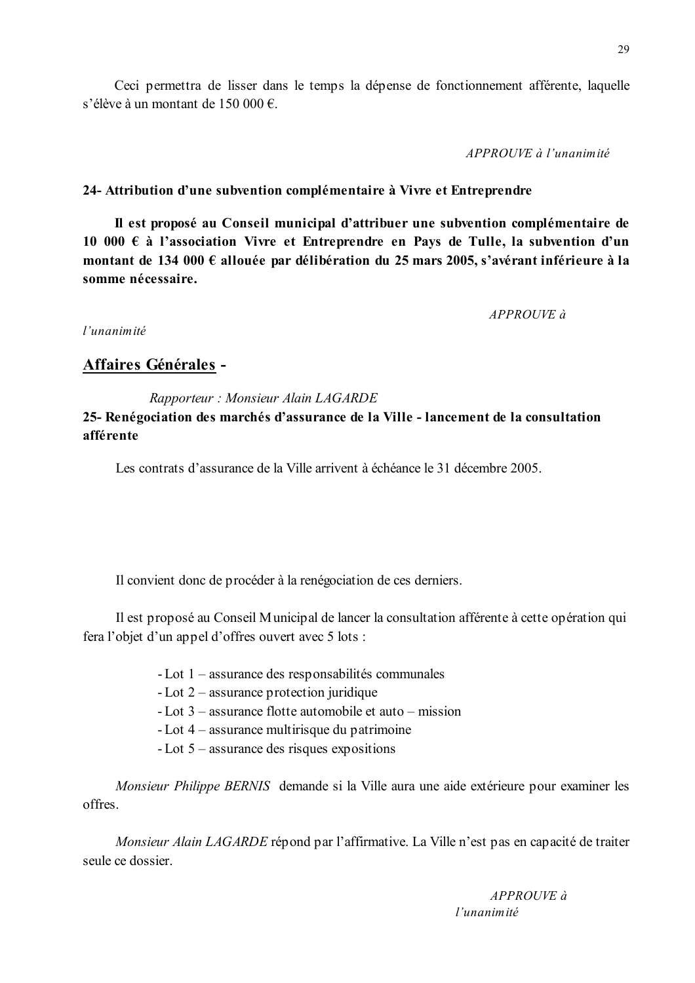Ceci permettra de lisser dans le temps la dépense de fonctionnement afférente, laquelle s'élève à un montant de 150 000 €.

APPROUVE à l'unanimité

## 24- Attribution d'une subvention complémentaire à Vivre et Entreprendre

Il est proposé au Conseil municipal d'attribuer une subvention complémentaire de 10 000  $\epsilon$  à l'association Vivre et Entreprendre en Pays de Tulle, la subvention d'un montant de 134 000 € allouée par délibération du 25 mars 2005, s'avérant inférieure à la somme nécessaire.

 $APPROUVE\ d$ 

l'unanimité

# Affaires Générales -

Rapporteur: Monsieur Alain LAGARDE

# 25- Renégociation des marchés d'assurance de la Ville - lancement de la consultation afférente

Les contrats d'assurance de la Ville arrivent à échéance le 31 décembre 2005.

Il convient donc de procéder à la renégociation de ces derniers.

Il est proposé au Conseil Municipal de lancer la consultation afférente à cette opération qui fera l'objet d'un appel d'offres ouvert avec 5 lots :

- Lot  $1$  assurance des responsabilités communales
- Lot  $2$  assurance protection juridique
- Lot  $3$  assurance flotte automobile et auto mission
- Lot  $4$  assurance multirisque du patrimoine
- $-Lot 5$  assurance des risques expositions

Monsieur Philippe BERNIS demande si la Ville aura une aide extérieure pour examiner les offres

Monsieur Alain LAGARDE répond par l'affirmative. La Ville n'est pas en capacité de traiter seule ce dossier

> $APPROIIVE$  à l'unanimité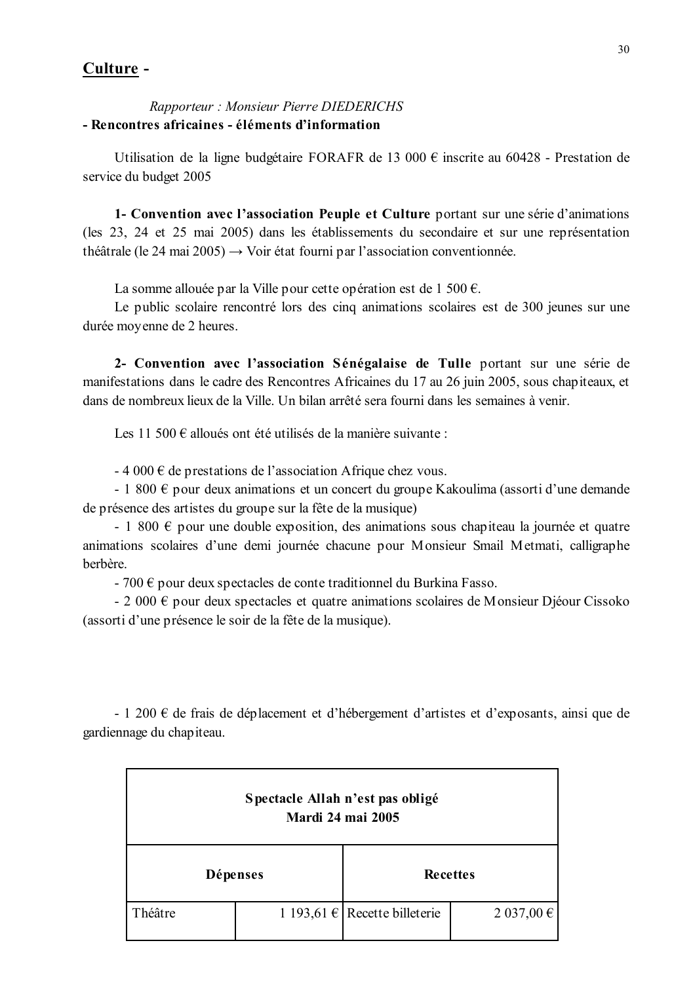## Culture -

## Rapporteur: Monsieur Pierre DIEDERICHS - Rencontres africaines - éléments d'information

Utilisation de la ligne budgétaire FORAFR de 13 000  $\epsilon$  inscrite au 60428 - Prestation de service du budget 2005

1- Convention avec l'association Peuple et Culture portant sur une série d'animations (les 23, 24 et 25 mai 2005) dans les établissements du secondaire et sur une représentation théâtrale (le 24 mai 2005)  $\rightarrow$  Voir état fourni par l'association conventionnée.

La somme allouée par la Ville pour cette opération est de 1 500 €.

Le public scolaire rencontré lors des cinq animations scolaires est de 300 jeunes sur une durée moyenne de 2 heures.

2- Convention avec l'association Sénégalaise de Tulle portant sur une série de manifestations dans le cadre des Rencontres Africaines du 17 au 26 juin 2005, sous chapiteaux, et dans de nombreux lieux de la Ville. Un bilan arrêté sera fourni dans les semaines à venir.

Les 11 500  $\epsilon$  alloués ont été utilisés de la manière suivante :

 $-4000 \text{ } \in$  de prestations de l'association Afrique chez vous.

- 1 800  $\epsilon$  pour deux animations et un concert du groupe Kakoulima (assorti d'une demande de présence des artistes du groupe sur la fête de la musique)

- 1 800  $\epsilon$  pour une double exposition, des animations sous chapiteau la journée et quatre animations scolaires d'une demi journée chacune pour Monsieur Smail Metmati, calligraphe berbère.

- 700  $\epsilon$  pour deux spectacles de conte traditionnel du Burkina Fasso.

- 2 000  $\epsilon$  pour deux spectacles et quatre animations scolaires de Monsieur Djéour Cissoko (assorti d'une présence le soir de la fête de la musique).

- 1 200  $\epsilon$  de frais de déplacement et d'hébergement d'artistes et d'exposants, ainsi que de gardiennage du chapiteau.

| Spectacle Allah n'est pas obligé<br><b>Mardi 24 mai 2005</b> |  |                               |               |  |  |
|--------------------------------------------------------------|--|-------------------------------|---------------|--|--|
| <b>Dépenses</b>                                              |  | <b>Recettes</b>               |               |  |  |
| Théâtre                                                      |  | 1 193,61 € Recette billeterie | $2037,00 \in$ |  |  |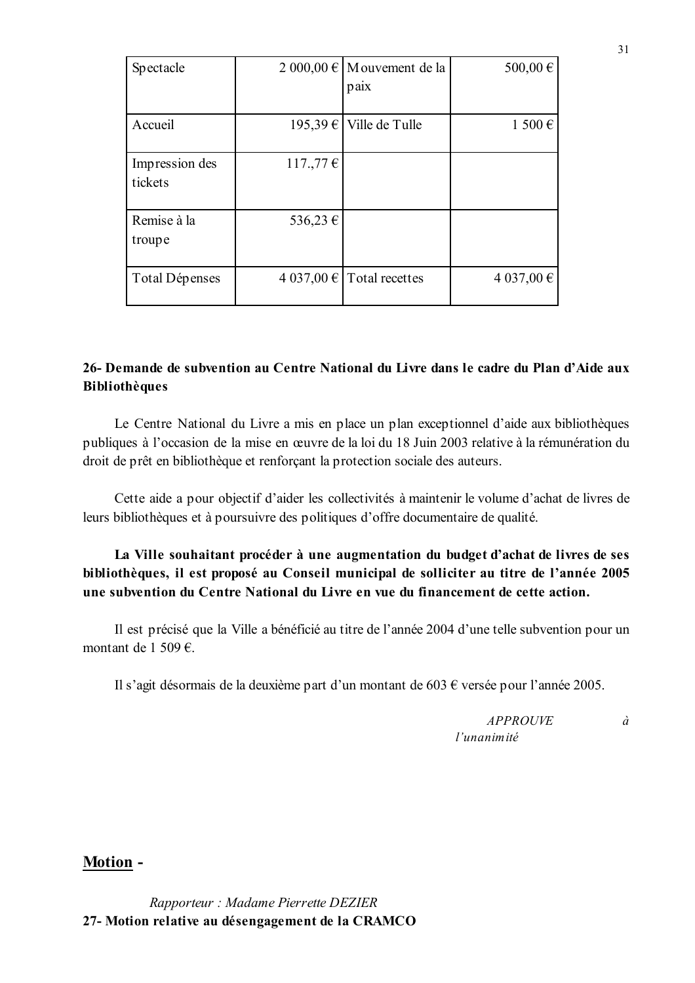| Spectacle                 |          | 2 000,00 $\in$ M ouvement de la<br>paix | 500,00€    |
|---------------------------|----------|-----------------------------------------|------------|
| Accueil                   | 195,39€  | Ville de Tulle                          | 1500€      |
| Impression des<br>tickets | 117.,77€ |                                         |            |
| Remise à la<br>troupe     | 536,23 € |                                         |            |
| Total Dépenses            |          | $4037,00 \in$ Total recettes            | 4 037,00 € |

# 26- Demande de subvention au Centre National du Livre dans le cadre du Plan d'Aide aux **Bibliothèques**

Le Centre National du Livre a mis en place un plan exceptionnel d'aide aux bibliothèques publiques à l'occasion de la mise en œuvre de la loi du 18 Juin 2003 relative à la rémunération du droit de prêt en bibliothèque et renforçant la protection sociale des auteurs.

Cette aide a pour objectif d'aider les collectivités à maintenir le volume d'achat de livres de leurs bibliothèques et à poursuivre des politiques d'offre documentaire de qualité.

La Ville souhaitant procéder à une augmentation du budget d'achat de livres de ses bibliothèques, il est proposé au Conseil municipal de solliciter au titre de l'année 2005 une subvention du Centre National du Livre en vue du financement de cette action.

Il est précisé que la Ville a bénéficié au titre de l'année 2004 d'une telle subvention pour un montant de 1 509  $\epsilon$ .

Il s'agit désormais de la deuxième part d'un montant de 603  $\epsilon$  versée pour l'année 2005.

**APPROUVE**  $l'$ unanimité

 $\dot{a}$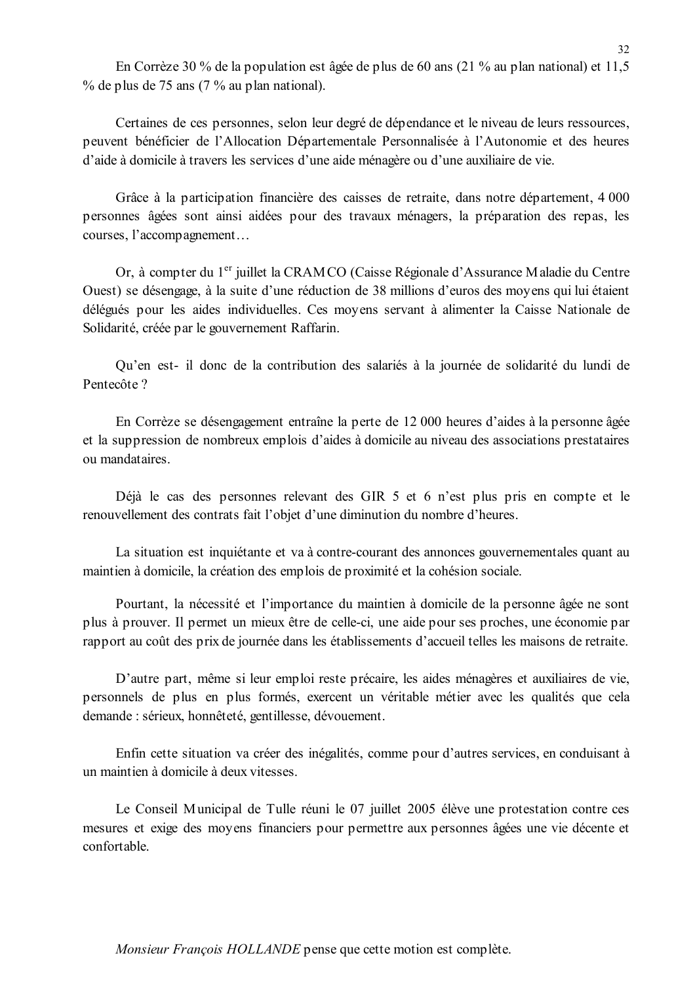En Corrèze 30 % de la population est âgée de plus de 60 ans (21 % au plan national) et 11,5  $\%$  de plus de 75 ans (7  $\%$  au plan national).

Certaines de ces personnes, selon leur degré de dépendance et le niveau de leurs ressources. peuvent bénéficier de l'Allocation Départementale Personnalisée à l'Autonomie et des heures d'aide à domicile à travers les services d'une aide ménagère ou d'une auxiliaire de vie.

Grâce à la participation financière des caisses de retraite, dans notre département, 4 000 personnes âgées sont ainsi aidées pour des travaux ménagers, la préparation des repas, les courses, l'accompagnement...

Or, à compter du 1<sup>er</sup> juillet la CRAMCO (Caisse Régionale d'Assurance Maladie du Centre Ouest) se désengage, à la suite d'une réduction de 38 millions d'euros des movens qui lui étaient délégués pour les aides individuelles. Ces moyens servant à alimenter la Caisse Nationale de Solidarité, créée par le gouvernement Raffarin.

Ou'en est- il donc de la contribution des salariés à la journée de solidarité du lundi de Pentecôte?

En Corrèze se désengagement entraîne la perte de 12 000 heures d'aides à la personne âgée et la suppression de nombreux emplois d'aides à domicile au niveau des associations prestataires ou mandataires

Déjà le cas des personnes relevant des GIR 5 et 6 n'est plus pris en compte et le renouvellement des contrats fait l'objet d'une diminution du nombre d'heures.

La situation est inquiétante et va à contre-courant des annonces gouvernementales quant au maintien à domicile, la création des emplois de proximité et la cohésion sociale.

Pourtant, la nécessité et l'importance du maintien à domicile de la personne âgée ne sont plus à prouver. Il permet un mieux être de celle-ci, une aide pour ses proches, une économie par rapport au coût des prix de journée dans les établissements d'accueil telles les maisons de retraite.

D'autre part, même si leur emploi reste précaire, les aides ménagères et auxiliaires de vie, personnels de plus en plus formés, exercent un véritable métier avec les qualités que cela demande : sérieux, honnêteté, gentillesse, dévouement.

Enfin cette situation va créer des inégalités, comme pour d'autres services, en conduisant à un maintien à domicile à deux vitesses.

Le Conseil Municipal de Tulle réuni le 07 juillet 2005 élève une protestation contre ces mesures et exige des moyens financiers pour permettre aux personnes âgées une vie décente et confortable

*Monsieur François HOLLANDE* pense que cette motion est complète.